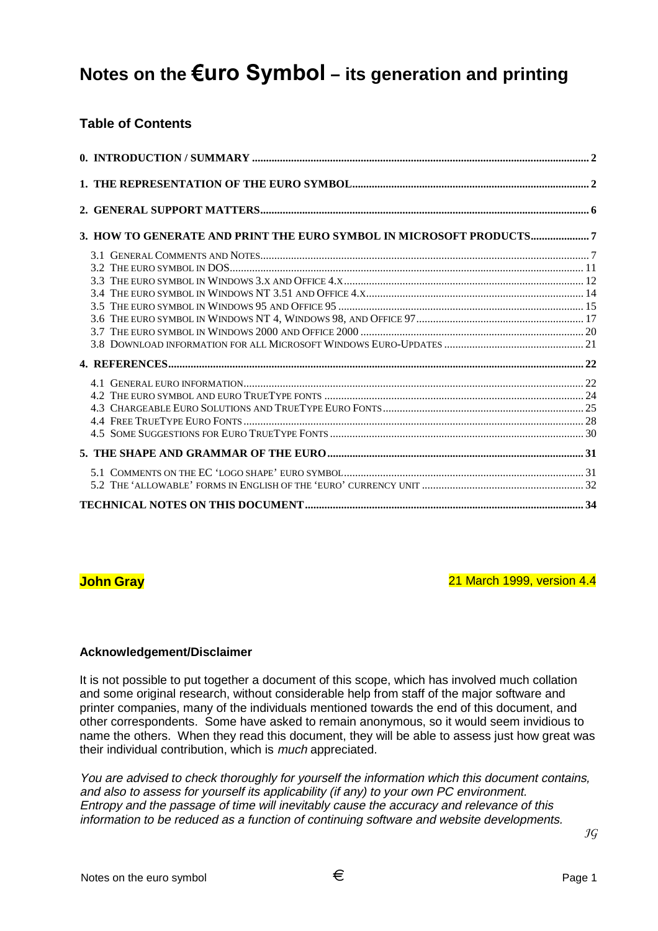# Notes on the €uro Symbol – its generation and printing

## **Table of Contents**

| 3. HOW TO GENERATE AND PRINT THE EURO SYMBOL IN MICROSOFT PRODUCTS7 |  |
|---------------------------------------------------------------------|--|
|                                                                     |  |
|                                                                     |  |
|                                                                     |  |
|                                                                     |  |
|                                                                     |  |
|                                                                     |  |
|                                                                     |  |
|                                                                     |  |
|                                                                     |  |
|                                                                     |  |
|                                                                     |  |
|                                                                     |  |
|                                                                     |  |
|                                                                     |  |
|                                                                     |  |
|                                                                     |  |
|                                                                     |  |
|                                                                     |  |

**John Gray** 21 March 1999, version 4.4

#### **Acknowledgement/Disclaimer**

It is not possible to put together a document of this scope, which has involved much collation and some original research, without considerable help from staff of the major software and printer companies, many of the individuals mentioned towards the end of this document, and other correspondents. Some have asked to remain anonymous, so it would seem invidious to name the others. When they read this document, they will be able to assess just how great was their individual contribution, which is much appreciated.

You are advised to check thoroughly for yourself the information which this document contains, and also to assess for yourself its applicability (if any) to your own PC environment. Entropy and the passage of time will inevitably cause the accuracy and relevance of this information to be reduced as a function of continuing software and website developments.

 $\mathcal{I}G$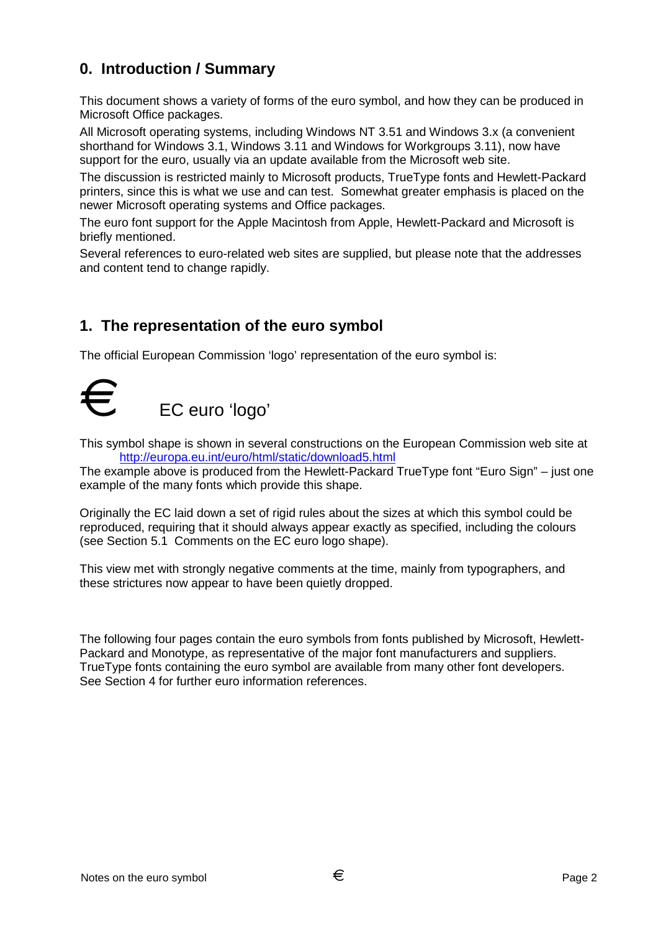# **0. Introduction / Summary**

This document shows a variety of forms of the euro symbol, and how they can be produced in Microsoft Office packages.

All Microsoft operating systems, including Windows NT 3.51 and Windows 3.x (a convenient shorthand for Windows 3.1, Windows 3.11 and Windows for Workgroups 3.11), now have support for the euro, usually via an update available from the Microsoft web site.

The discussion is restricted mainly to Microsoft products, TrueType fonts and Hewlett-Packard printers, since this is what we use and can test. Somewhat greater emphasis is placed on the newer Microsoft operating systems and Office packages.

The euro font support for the Apple Macintosh from Apple, Hewlett-Packard and Microsoft is briefly mentioned.

Several references to euro-related web sites are supplied, but please note that the addresses and content tend to change rapidly.

# **1. The representation of the euro symbol**

The official European Commission 'logo' representation of the euro symbol is:



This symbol shape is shown in several constructions on the European Commission web site at http://europa.eu.int/euro/html/static/download5.html

The example above is produced from the Hewlett-Packard TrueType font "Euro Sign" – just one example of the many fonts which provide this shape.

Originally the EC laid down a set of rigid rules about the sizes at which this symbol could be reproduced, requiring that it should always appear exactly as specified, including the colours (see Section 5.1 Comments on the EC euro logo shape).

This view met with strongly negative comments at the time, mainly from typographers, and these strictures now appear to have been quietly dropped.

The following four pages contain the euro symbols from fonts published by Microsoft, Hewlett-Packard and Monotype, as representative of the major font manufacturers and suppliers. TrueType fonts containing the euro symbol are available from many other font developers. See Section 4 for further euro information references.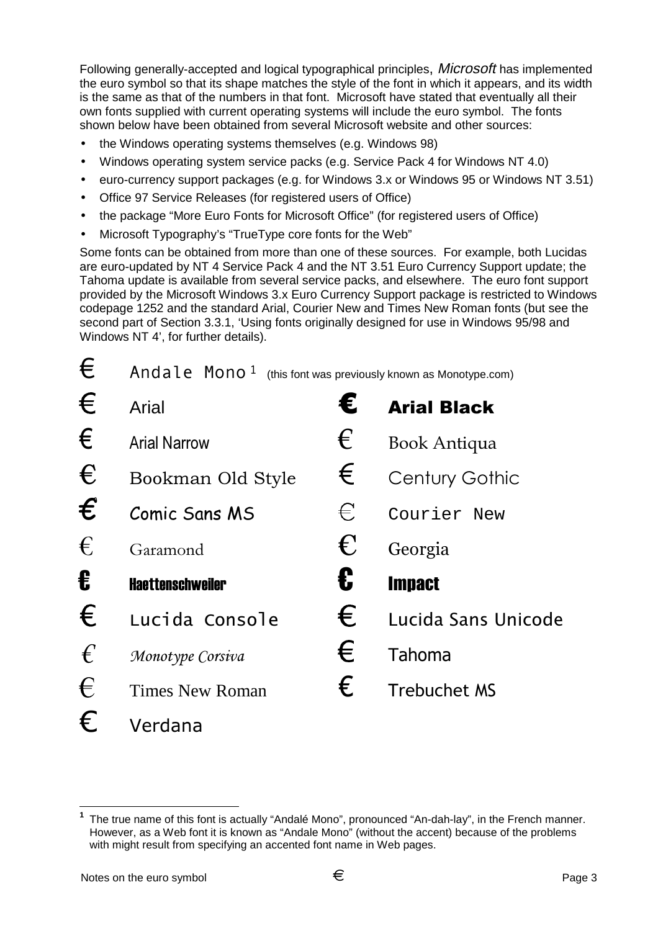Following generally-accepted and logical typographical principles, *Microsoft* has implemented the euro symbol so that its shape matches the style of the font in which it appears, and its width is the same as that of the numbers in that font. Microsoft have stated that eventually all their own fonts supplied with current operating systems will include the euro symbol. The fonts shown below have been obtained from several Microsoft website and other sources:

- the Windows operating systems themselves (e.g. Windows 98)
- Windows operating system service packs (e.g. Service Pack 4 for Windows NT 4.0)
- euro-currency support packages (e.g. for Windows 3.x or Windows 95 or Windows NT 3.51)
- Office 97 Service Releases (for registered users of Office)
- the package "More Euro Fonts for Microsoft Office" (for registered users of Office)
- Microsoft Typography's "TrueType core fonts for the Web"

Some fonts can be obtained from more than one of these sources. For example, both Lucidas are euro-updated by NT 4 Service Pack 4 and the NT 3.51 Euro Currency Support update; the Tahoma update is available from several service packs, and elsewhere. The euro font support provided by the Microsoft Windows 3.x Euro Currency Support package is restricted to Windows codepage 1252 and the standard Arial, Courier New and Times New Roman fonts (but see the second part of Section 3.3.1, 'Using fonts originally designed for use in Windows 95/98 and Windows NT 4', for further details).

| €                       | Andale Mono <sup>1</sup> |   | (this font was previously known as Monotype.com) |
|-------------------------|--------------------------|---|--------------------------------------------------|
| €                       | Arial                    | € | <b>Arial Black</b>                               |
| $\epsilon$              | <b>Arial Narrow</b>      | € | <b>Book Antiqua</b>                              |
| €                       | Bookman Old Style        | € | Century Gothic                                   |
| $\boldsymbol{\epsilon}$ | <b>Comic Sans MS</b>     | € | Courier New                                      |
| €                       | Garamond                 | € | Georgia                                          |
| €                       | <b>Haettenschweiler</b>  | € | <b>Impact</b>                                    |
| €                       | Lucida Console           | € | Lucida Sans Unicode                              |
| $\epsilon$              | Monotype Corsiva         | € | Tahoma                                           |
| €                       | <b>Times New Roman</b>   | € | <b>Trebuchet MS</b>                              |
| €                       | Verdana                  |   |                                                  |

 $\overline{a}$ 

**<sup>1</sup>** The true name of this font is actually "Andalé Mono", pronounced "An-dah-lay", in the French manner. However, as a Web font it is known as "Andale Mono" (without the accent) because of the problems with might result from specifying an accented font name in Web pages.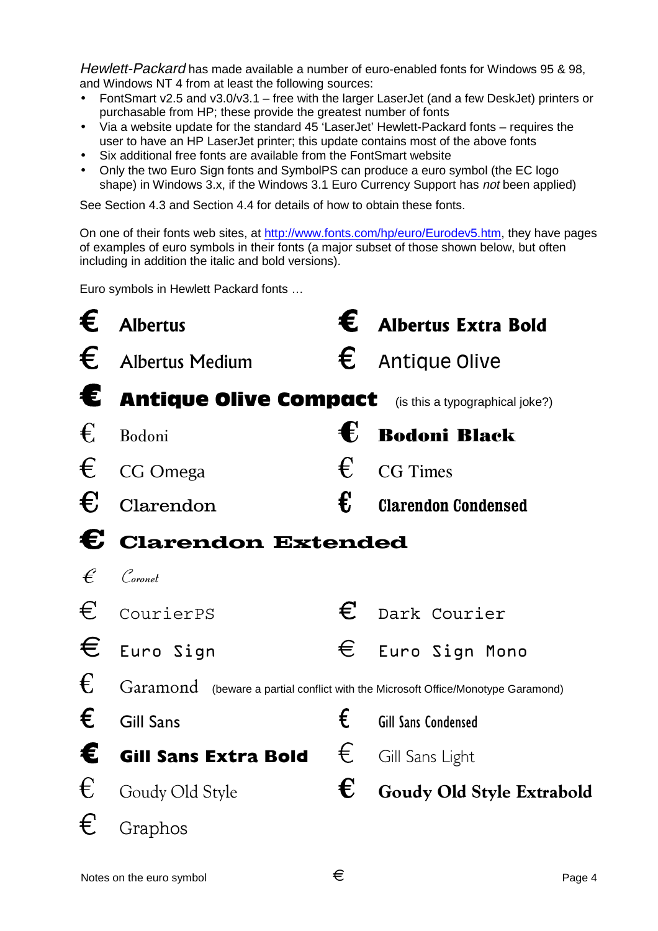Hewlett-Packard has made available a number of euro-enabled fonts for Windows 95 & 98, and Windows NT 4 from at least the following sources:

- FontSmart v2.5 and v3.0/v3.1 free with the larger LaserJet (and a few DeskJet) printers or purchasable from HP; these provide the greatest number of fonts
- Via a website update for the standard 45 'LaserJet' Hewlett-Packard fonts requires the user to have an HP LaserJet printer; this update contains most of the above fonts
- Six additional free fonts are available from the FontSmart website
- Only the two Euro Sign fonts and SymbolPS can produce a euro symbol (the EC logo shape) in Windows 3.x, if the Windows 3.1 Euro Currency Support has not been applied)

See Section 4.3 and Section 4.4 for details of how to obtain these fonts.

On one of their fonts web sites, at http://www.fonts.com/hp/euro/Eurodev5.htm, they have pages of examples of euro symbols in their fonts (a major subset of those shown below, but often including in addition the italic and bold versions).

Euro symbols in Hewlett Packard fonts …

| €          | <b>Albertus</b>                                                                  | € | <b>Albertus Extra Bold</b> |
|------------|----------------------------------------------------------------------------------|---|----------------------------|
| €          | <b>Albertus Medium</b>                                                           | € | <b>Antique Olive</b>       |
| €          | <b>Antique Olive Compact</b> (is this a typographical joke?)                     |   |                            |
| $\epsilon$ | Bodoni                                                                           | € | <b>Bodoni Black</b>        |
| €          | CG Omega                                                                         | € | <b>CG</b> Times            |
| €          | Clarendon                                                                        | € | <b>Clarendon Condensed</b> |
|            | C Clarendon Extended                                                             |   |                            |
| f          | Coronet                                                                          |   |                            |
| €          | CourierPS                                                                        | € | Dark Courier               |
| €          | Euro Sign                                                                        | € | Euro Sign Mono             |
| €          | Garamond (beware a partial conflict with the Microsoft Office/Monotype Garamond) |   |                            |
| €          | <b>Gill Sans</b>                                                                 | € | <b>Gill Sans Condensed</b> |
| €          | <b>Gill Sans Extra Bold</b>                                                      | € | Gill Sans Light            |
| €          | Goudy Old Style                                                                  | € | Goudy Old Style Extrabold  |
| €          | Graphos                                                                          |   |                            |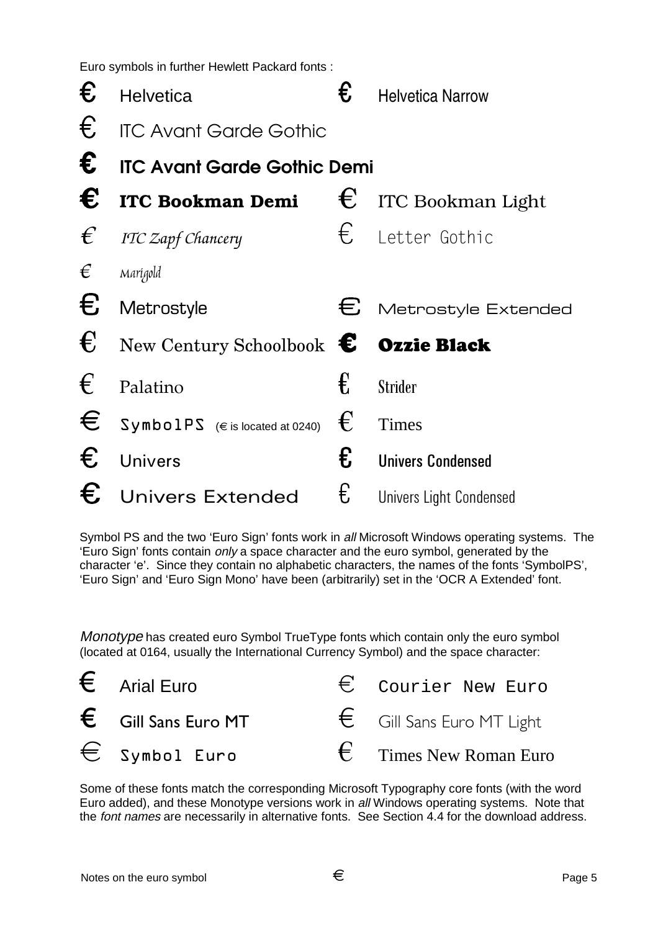Euro symbols in further Hewlett Packard fonts :

| €          | <b>Helvetica</b>                              | € | <b>Helvetica Narrow</b>      |
|------------|-----------------------------------------------|---|------------------------------|
| €          | <b>ITC Avant Garde Gothic</b>                 |   |                              |
| €          | <b>ITC Avant Garde Gothic Demi</b>            |   |                              |
| €          | <b>ITC Bookman Demi</b>                       |   | $\epsilon$ ITC Bookman Light |
| $\epsilon$ | ITC Zapf Chancery                             | € | Letter Gothic                |
| €          | Marigold                                      |   |                              |
| €          | Metrostyle                                    | € | Metrostyle Extended          |
| €          | New Century Schoolbook $\epsilon$ Ozzie Black |   |                              |
| €          | Palatino                                      | € | <b>Strider</b>               |
| €          | $SymbolPS$ ( $\in$ is located at 0240)        | € | Times                        |
| €          | <b>Univers</b>                                | € | <b>Univers Condensed</b>     |
| €          | <b>Univers Extended</b>                       | € | Univers Light Condensed      |

Symbol PS and the two 'Euro Sign' fonts work in all Microsoft Windows operating systems. The 'Euro Sign' fonts contain only a space character and the euro symbol, generated by the character 'e'. Since they contain no alphabetic characters, the names of the fonts 'SymbolPS', 'Euro Sign' and 'Euro Sign Mono' have been (arbitrarily) set in the 'OCR A Extended' font.

Monotype has created euro Symbol TrueType fonts which contain only the euro symbol (located at 0164, usually the International Currency Symbol) and the space character:



Some of these fonts match the corresponding Microsoft Typography core fonts (with the word Euro added), and these Monotype versions work in all Windows operating systems. Note that the font names are necessarily in alternative fonts. See Section 4.4 for the download address.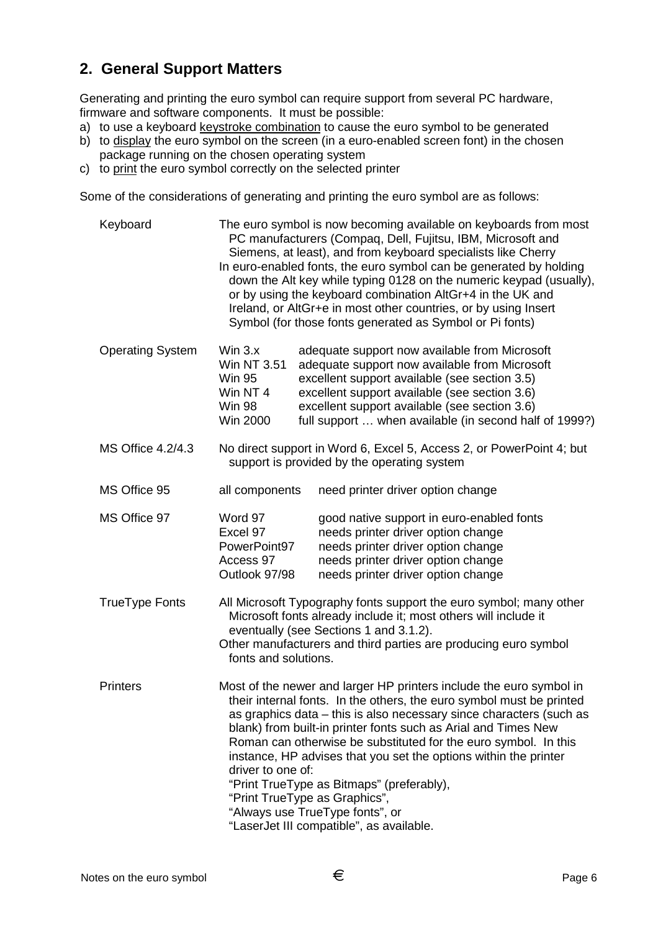# **2. General Support Matters**

Generating and printing the euro symbol can require support from several PC hardware, firmware and software components. It must be possible:

- a) to use a keyboard keystroke combination to cause the euro symbol to be generated
- b) to display the euro symbol on the screen (in a euro-enabled screen font) in the chosen package running on the chosen operating system
- c) to print the euro symbol correctly on the selected printer

Some of the considerations of generating and printing the euro symbol are as follows:

Keyboard The euro symbol is now becoming available on keyboards from most PC manufacturers (Compaq, Dell, Fujitsu, IBM, Microsoft and Siemens, at least), and from keyboard specialists like Cherry In euro-enabled fonts, the euro symbol can be generated by holding down the Alt key while typing 0128 on the numeric keypad (usually), or by using the keyboard combination AltGr+4 in the UK and Ireland, or AltGr+e in most other countries, or by using Insert Symbol (for those fonts generated as Symbol or Pi fonts) Operating System Win 3.x adequate support now available from Microsoft Win NT 3.51 adequate support now available from Microsoft Win 95 excellent support available (see section 3.5) Win NT 4 excellent support available (see section 3.6) Win 98 excellent support available (see section 3.6) Win 2000 full support ... when available (in second half of 1999?) MS Office 4.2/4.3 No direct support in Word 6, Excel 5, Access 2, or PowerPoint 4; but support is provided by the operating system MS Office 95 all components need printer driver option change MS Office 97 Word 97 good native support in euro-enabled fonts Excel 97 heeds printer driver option change PowerPoint97 needs printer driver option change Access 97 needs printer driver option change Outlook 97/98 needs printer driver option change TrueType Fonts All Microsoft Typography fonts support the euro symbol; many other Microsoft fonts already include it; most others will include it eventually (see Sections 1 and 3.1.2). Other manufacturers and third parties are producing euro symbol fonts and solutions. Printers Most of the newer and larger HP printers include the euro symbol in their internal fonts. In the others, the euro symbol must be printed as graphics data – this is also necessary since characters (such as blank) from built-in printer fonts such as Arial and Times New Roman can otherwise be substituted for the euro symbol. In this instance, HP advises that you set the options within the printer driver to one of: "Print TrueType as Bitmaps" (preferably), "Print TrueType as Graphics", "Always use TrueType fonts", or "LaserJet III compatible", as available.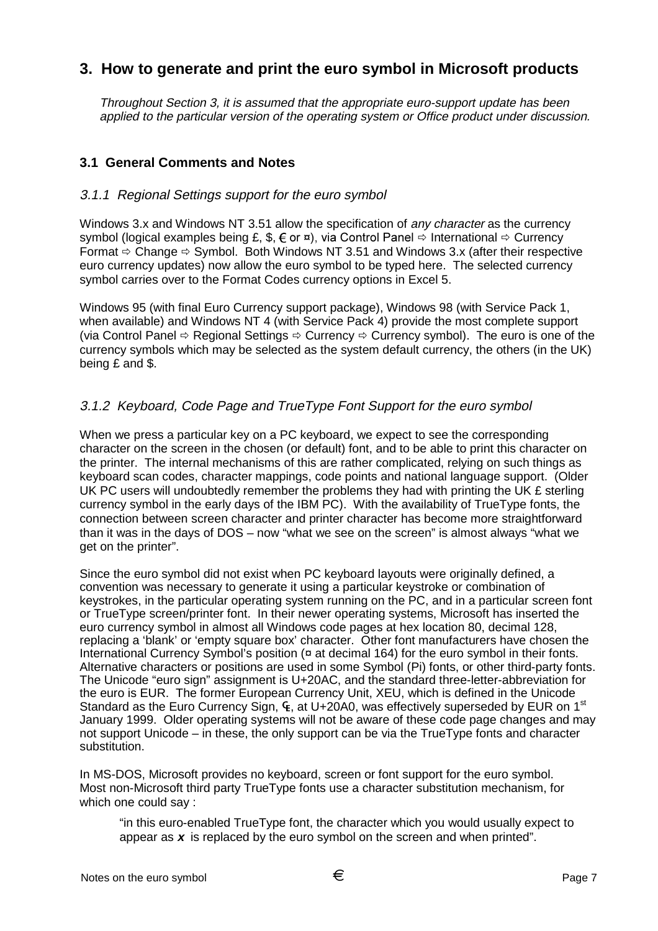# **3. How to generate and print the euro symbol in Microsoft products**

Throughout Section 3, it is assumed that the appropriate euro-support update has been applied to the particular version of the operating system or Office product under discussion.

## **3.1 General Comments and Notes**

#### 3.1.1 Regional Settings support for the euro symbol

Windows 3.x and Windows NT 3.51 allow the specification of *any character* as the currency symbol (logical examples being £,  $\hat{\mathbf{x}}_i \in \mathsf{or} \mathbf{z}$ ), via Control Panel  $\Rightarrow$  International  $\Rightarrow$  Currency Format  $\Rightarrow$  Change  $\Rightarrow$  Symbol. Both Windows NT 3.51 and Windows 3.x (after their respective euro currency updates) now allow the euro symbol to be typed here. The selected currency symbol carries over to the Format Codes currency options in Excel 5.

Windows 95 (with final Euro Currency support package), Windows 98 (with Service Pack 1, when available) and Windows NT 4 (with Service Pack 4) provide the most complete support (via Control Panel  $\Rightarrow$  Regional Settings  $\Rightarrow$  Currency  $\Rightarrow$  Currency symbol). The euro is one of the currency symbols which may be selected as the system default currency, the others (in the UK) being £ and \$.

## 3.1.2 Keyboard, Code Page and TrueType Font Support for the euro symbol

When we press a particular key on a PC keyboard, we expect to see the corresponding character on the screen in the chosen (or default) font, and to be able to print this character on the printer. The internal mechanisms of this are rather complicated, relying on such things as keyboard scan codes, character mappings, code points and national language support. (Older UK PC users will undoubtedly remember the problems they had with printing the UK  $E$  sterling currency symbol in the early days of the IBM PC). With the availability of TrueType fonts, the connection between screen character and printer character has become more straightforward than it was in the days of DOS – now "what we see on the screen" is almost always "what we get on the printer".

Since the euro symbol did not exist when PC keyboard layouts were originally defined, a convention was necessary to generate it using a particular keystroke or combination of keystrokes, in the particular operating system running on the PC, and in a particular screen font or TrueType screen/printer font. In their newer operating systems, Microsoft has inserted the euro currency symbol in almost all Windows code pages at hex location 80, decimal 128, replacing a 'blank' or 'empty square box' character. Other font manufacturers have chosen the International Currency Symbol's position ( $\alpha$  at decimal 164) for the euro symbol in their fonts. Alternative characters or positions are used in some Symbol (Pi) fonts, or other third-party fonts. The Unicode "euro sign" assignment is U+20AC, and the standard three-letter-abbreviation for the euro is EUR. The former European Currency Unit, XEU, which is defined in the Unicode Standard as the Euro Currency Sign,  $F$ , at U+20A0, was effectively superseded by EUR on 1<sup>st</sup> January 1999. Older operating systems will not be aware of these code page changes and may not support Unicode – in these, the only support can be via the TrueType fonts and character substitution.

In MS-DOS, Microsoft provides no keyboard, screen or font support for the euro symbol. Most non-Microsoft third party TrueType fonts use a character substitution mechanism, for which one could say :

"in this euro-enabled TrueType font, the character which you would usually expect to appear as **<sup>x</sup>** is replaced by the euro symbol on the screen and when printed".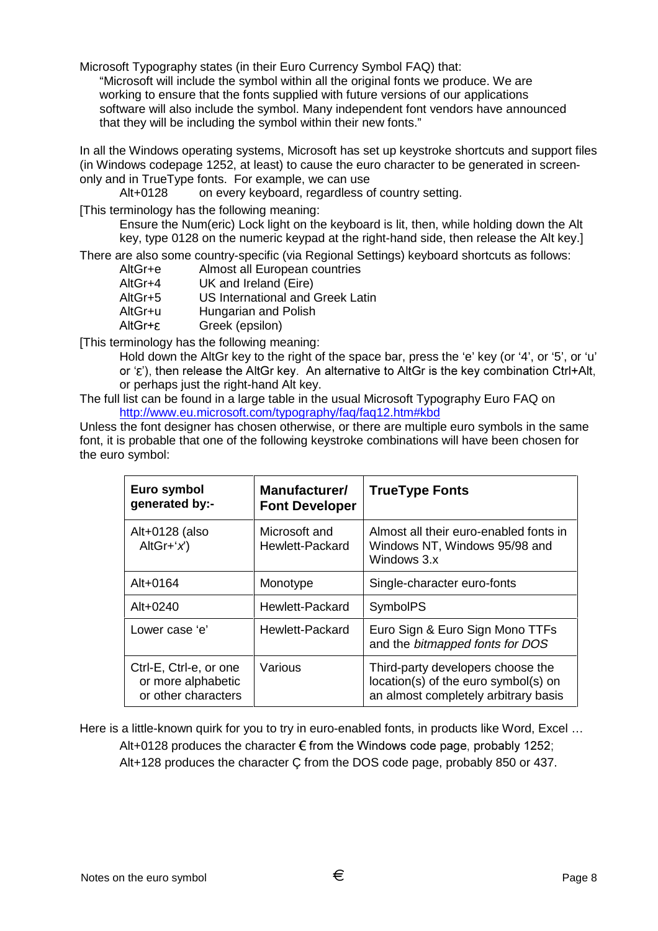Microsoft Typography states (in their Euro Currency Symbol FAQ) that: "Microsoft will include the symbol within all the original fonts we produce. We are working to ensure that the fonts supplied with future versions of our applications software will also include the symbol. Many independent font vendors have announced that they will be including the symbol within their new fonts."

In all the Windows operating systems, Microsoft has set up keystroke shortcuts and support files (in Windows codepage 1252, at least) to cause the euro character to be generated in screenonly and in TrueType fonts. For example, we can use

Alt+0128 on every keyboard, regardless of country setting.

[This terminology has the following meaning:

Ensure the Num(eric) Lock light on the keyboard is lit, then, while holding down the Alt key, type 0128 on the numeric keypad at the right-hand side, then release the Alt key.]

There are also some country-specific (via Regional Settings) keyboard shortcuts as follows:

| AltGr+e | Almost all European countries           |
|---------|-----------------------------------------|
| AltGr+4 | UK and Ireland (Eire)                   |
| AltGr+5 | <b>US International and Greek Latin</b> |
| AltGr+u | Hungarian and Polish                    |
| AltGr+ε | Greek (epsilon)                         |
|         |                                         |

[This terminology has the following meaning:

Hold down the AltGr key to the right of the space bar, press the 'e' key (or '4', or '5', or 'u' or  $(\varepsilon')$ , then release the AltGr key. An alternative to AltGr is the key combination Ctrl+Alt, or perhaps just the right-hand Alt key.

The full list can be found in a large table in the usual Microsoft Typography Euro FAQ on http://www.eu.microsoft.com/typography/faq/faq12.htm#kbd

Unless the font designer has chosen otherwise, or there are multiple euro symbols in the same font, it is probable that one of the following keystroke combinations will have been chosen for the euro symbol:

| Euro symbol<br>generated by:-                                       | Manufacturer/<br><b>Font Developer</b> | <b>TrueType Fonts</b>                                                                                             |
|---------------------------------------------------------------------|----------------------------------------|-------------------------------------------------------------------------------------------------------------------|
| Alt+0128 (also<br>AltGr+' $x$ ')                                    | Microsoft and<br>Hewlett-Packard       | Almost all their euro-enabled fonts in<br>Windows NT, Windows 95/98 and<br>Windows 3.x                            |
| Alt $+0164$                                                         | Monotype                               | Single-character euro-fonts                                                                                       |
| $Alt + 0240$                                                        | Hewlett-Packard                        | <b>SymbolPS</b>                                                                                                   |
| Lower case 'e'                                                      | Hewlett-Packard                        | Euro Sign & Euro Sign Mono TTFs<br>and the bitmapped fonts for DOS                                                |
| Ctrl-E, Ctrl-e, or one<br>or more alphabetic<br>or other characters | Various                                | Third-party developers choose the<br>location(s) of the euro symbol(s) on<br>an almost completely arbitrary basis |

Here is a little-known quirk for you to try in euro-enabled fonts, in products like Word, Excel … Alt+0128 produces the character  $\epsilon$  from the Windows code page, probably 1252; Alt+128 produces the character Ç from the DOS code page, probably 850 or 437.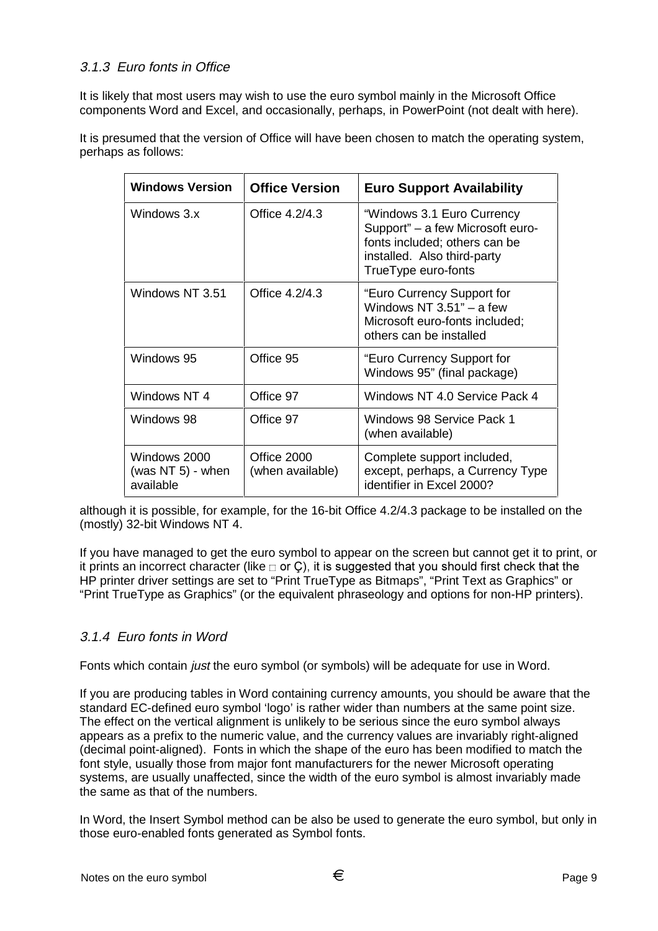## 3.1.3 Euro fonts in Office

It is likely that most users may wish to use the euro symbol mainly in the Microsoft Office components Word and Excel, and occasionally, perhaps, in PowerPoint (not dealt with here).

It is presumed that the version of Office will have been chosen to match the operating system, perhaps as follows:

| <b>Windows Version</b>                            | <b>Office Version</b>           | <b>Euro Support Availability</b>                                                                                                                      |
|---------------------------------------------------|---------------------------------|-------------------------------------------------------------------------------------------------------------------------------------------------------|
| Windows 3.x                                       | Office 4.2/4.3                  | "Windows 3.1 Euro Currency<br>Support" – a few Microsoft euro-<br>fonts included; others can be<br>installed. Also third-party<br>TrueType euro-fonts |
| Windows NT 3.51                                   | Office 4.2/4.3                  | "Euro Currency Support for<br>Windows NT $3.51"$ – a few<br>Microsoft euro-fonts included;<br>others can be installed                                 |
| Windows 95                                        | Office 95                       | "Euro Currency Support for<br>Windows 95" (final package)                                                                                             |
| Windows NT 4                                      | Office 97                       | Windows NT 4.0 Service Pack 4                                                                                                                         |
| Windows 98                                        | Office 97                       | Windows 98 Service Pack 1<br>(when available)                                                                                                         |
| Windows 2000<br>(was NT $5$ ) - when<br>available | Office 2000<br>(when available) | Complete support included,<br>except, perhaps, a Currency Type<br>identifier in Excel 2000?                                                           |

although it is possible, for example, for the 16-bit Office 4.2/4.3 package to be installed on the (mostly) 32-bit Windows NT 4.

If you have managed to get the euro symbol to appear on the screen but cannot get it to print, or it prints an incorrect character (like  $\Box$  or C), it is suggested that you should first check that the HP printer driver settings are set to "Print TrueType as Bitmaps", "Print Text as Graphics" or "Print TrueType as Graphics" (or the equivalent phraseology and options for non-HP printers).

#### 3.1.4 Euro fonts in Word

Fonts which contain *just* the euro symbol (or symbols) will be adequate for use in Word.

If you are producing tables in Word containing currency amounts, you should be aware that the standard EC-defined euro symbol 'logo' is rather wider than numbers at the same point size. The effect on the vertical alignment is unlikely to be serious since the euro symbol always appears as a prefix to the numeric value, and the currency values are invariably right-aligned (decimal point-aligned). Fonts in which the shape of the euro has been modified to match the font style, usually those from major font manufacturers for the newer Microsoft operating systems, are usually unaffected, since the width of the euro symbol is almost invariably made the same as that of the numbers.

In Word, the Insert Symbol method can be also be used to generate the euro symbol, but only in those euro-enabled fonts generated as Symbol fonts.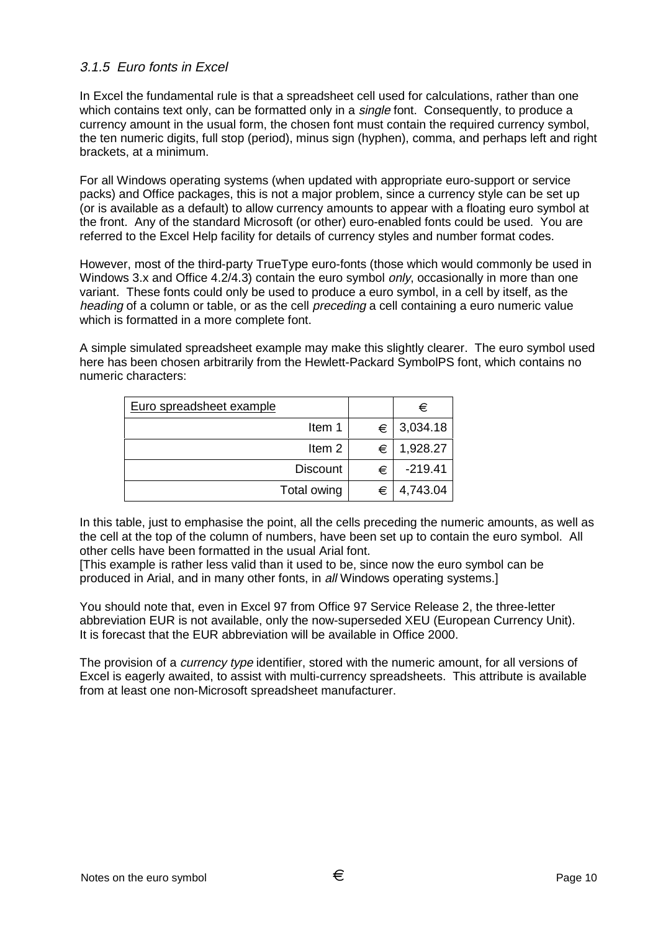#### 3.1.5 Euro fonts in Excel

In Excel the fundamental rule is that a spreadsheet cell used for calculations, rather than one which contains text only, can be formatted only in a single font. Consequently, to produce a currency amount in the usual form, the chosen font must contain the required currency symbol, the ten numeric digits, full stop (period), minus sign (hyphen), comma, and perhaps left and right brackets, at a minimum.

For all Windows operating systems (when updated with appropriate euro-support or service packs) and Office packages, this is not a major problem, since a currency style can be set up (or is available as a default) to allow currency amounts to appear with a floating euro symbol at the front. Any of the standard Microsoft (or other) euro-enabled fonts could be used. You are referred to the Excel Help facility for details of currency styles and number format codes.

However, most of the third-party TrueType euro-fonts (those which would commonly be used in Windows 3.x and Office 4.2/4.3) contain the euro symbol only, occasionally in more than one variant. These fonts could only be used to produce a euro symbol, in a cell by itself, as the heading of a column or table, or as the cell preceding a cell containing a euro numeric value which is formatted in a more complete font.

A simple simulated spreadsheet example may make this slightly clearer. The euro symbol used here has been chosen arbitrarily from the Hewlett-Packard SymbolPS font, which contains no numeric characters:

| Euro spreadsheet example |                   |   | €         |
|--------------------------|-------------------|---|-----------|
|                          | Item 1            | € | 3,034.18  |
|                          | Item <sub>2</sub> | € | 1,928.27  |
|                          | <b>Discount</b>   | € | $-219.41$ |
|                          | Total owing       | € | 4,743.04  |

In this table, just to emphasise the point, all the cells preceding the numeric amounts, as well as the cell at the top of the column of numbers, have been set up to contain the euro symbol. All other cells have been formatted in the usual Arial font.

[This example is rather less valid than it used to be, since now the euro symbol can be produced in Arial, and in many other fonts, in all Windows operating systems.]

You should note that, even in Excel 97 from Office 97 Service Release 2, the three-letter abbreviation EUR is not available, only the now-superseded XEU (European Currency Unit). It is forecast that the EUR abbreviation will be available in Office 2000.

The provision of a *currency type* identifier, stored with the numeric amount, for all versions of Excel is eagerly awaited, to assist with multi-currency spreadsheets. This attribute is available from at least one non-Microsoft spreadsheet manufacturer.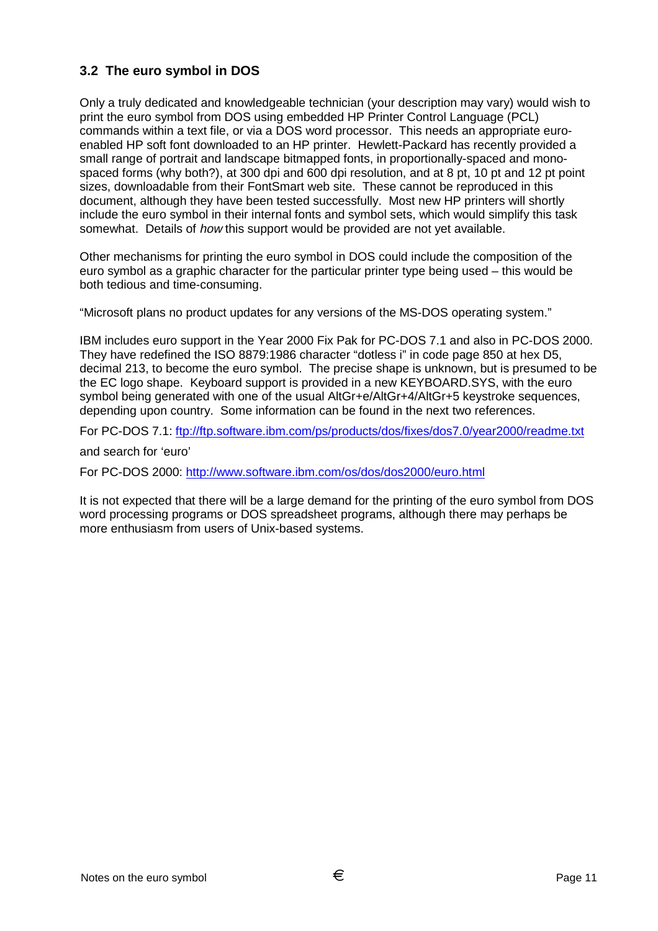# **3.2 The euro symbol in DOS**

Only a truly dedicated and knowledgeable technician (your description may vary) would wish to print the euro symbol from DOS using embedded HP Printer Control Language (PCL) commands within a text file, or via a DOS word processor. This needs an appropriate euroenabled HP soft font downloaded to an HP printer. Hewlett-Packard has recently provided a small range of portrait and landscape bitmapped fonts, in proportionally-spaced and monospaced forms (why both?), at 300 dpi and 600 dpi resolution, and at 8 pt, 10 pt and 12 pt point sizes, downloadable from their FontSmart web site. These cannot be reproduced in this document, although they have been tested successfully. Most new HP printers will shortly include the euro symbol in their internal fonts and symbol sets, which would simplify this task somewhat. Details of *how* this support would be provided are not yet available.

Other mechanisms for printing the euro symbol in DOS could include the composition of the euro symbol as a graphic character for the particular printer type being used – this would be both tedious and time-consuming.

"Microsoft plans no product updates for any versions of the MS-DOS operating system."

IBM includes euro support in the Year 2000 Fix Pak for PC-DOS 7.1 and also in PC-DOS 2000. They have redefined the ISO 8879:1986 character "dotless i" in code page 850 at hex D5, decimal 213, to become the euro symbol. The precise shape is unknown, but is presumed to be the EC logo shape. Keyboard support is provided in a new KEYBOARD.SYS, with the euro symbol being generated with one of the usual AltGr+e/AltGr+4/AltGr+5 keystroke sequences, depending upon country. Some information can be found in the next two references.

For PC-DOS 7.1: ftp://ftp.software.ibm.com/ps/products/dos/fixes/dos7.0/year2000/readme.txt

and search for 'euro'

For PC-DOS 2000: http://www.software.ibm.com/os/dos/dos2000/euro.html

It is not expected that there will be a large demand for the printing of the euro symbol from DOS word processing programs or DOS spreadsheet programs, although there may perhaps be more enthusiasm from users of Unix-based systems.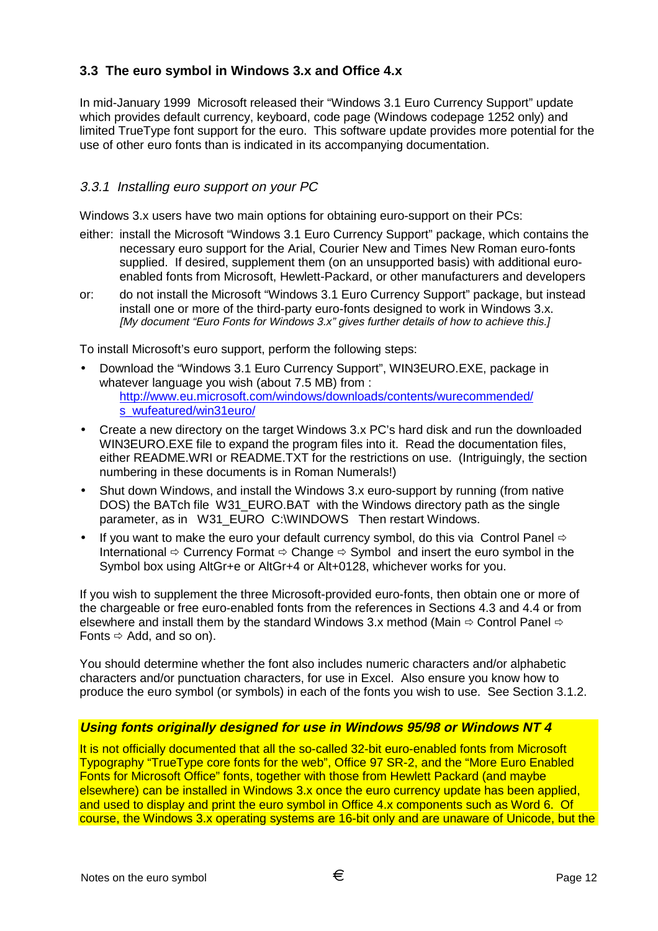# **3.3 The euro symbol in Windows 3.x and Office 4.x**

In mid-January 1999 Microsoft released their "Windows 3.1 Euro Currency Support" update which provides default currency, keyboard, code page (Windows codepage 1252 only) and limited TrueType font support for the euro. This software update provides more potential for the use of other euro fonts than is indicated in its accompanying documentation.

## 3.3.1 Installing euro support on your PC

Windows 3.x users have two main options for obtaining euro-support on their PCs:

- either: install the Microsoft "Windows 3.1 Euro Currency Support" package, which contains the necessary euro support for the Arial, Courier New and Times New Roman euro-fonts supplied. If desired, supplement them (on an unsupported basis) with additional euroenabled fonts from Microsoft, Hewlett-Packard, or other manufacturers and developers
- or: do not install the Microsoft "Windows 3.1 Euro Currency Support" package, but instead install one or more of the third-party euro-fonts designed to work in Windows 3.x. [My document "Euro Fonts for Windows 3.x" gives further details of how to achieve this.]

To install Microsoft's euro support, perform the following steps:

- Download the "Windows 3.1 Euro Currency Support", WIN3EURO.EXE, package in whatever language you wish (about 7.5 MB) from : http://www.eu.microsoft.com/windows/downloads/contents/wurecommended/ s\_wufeatured/win31euro/
- Create a new directory on the target Windows 3.x PC's hard disk and run the downloaded WIN3EURO.EXE file to expand the program files into it. Read the documentation files, either README.WRI or README.TXT for the restrictions on use. (Intriguingly, the section numbering in these documents is in Roman Numerals!)
- Shut down Windows, and install the Windows 3.x euro-support by running (from native DOS) the BATch file W31 EURO.BAT with the Windows directory path as the single parameter, as in W31\_EURO C:\WINDOWS Then restart Windows.
- If you want to make the euro your default currency symbol, do this via Control Panel  $\Leftrightarrow$ International  $\Rightarrow$  Currency Format  $\Rightarrow$  Change  $\Rightarrow$  Symbol and insert the euro symbol in the Symbol box using AltGr+e or AltGr+4 or Alt+0128, whichever works for you.

If you wish to supplement the three Microsoft-provided euro-fonts, then obtain one or more of the chargeable or free euro-enabled fonts from the references in Sections 4.3 and 4.4 or from elsewhere and install them by the standard Windows 3.x method (Main  $\Rightarrow$  Control Panel  $\Rightarrow$ Fonts  $\Leftrightarrow$  Add, and so on).

You should determine whether the font also includes numeric characters and/or alphabetic characters and/or punctuation characters, for use in Excel. Also ensure you know how to produce the euro symbol (or symbols) in each of the fonts you wish to use. See Section 3.1.2.

#### **Using fonts originally designed for use in Windows 95/98 or Windows NT 4**

It is not officially documented that all the so-called 32-bit euro-enabled fonts from Microsoft Typography "TrueType core fonts for the web", Office 97 SR-2, and the "More Euro Enabled Fonts for Microsoft Office" fonts, together with those from Hewlett Packard (and maybe elsewhere) can be installed in Windows 3.x once the euro currency update has been applied, and used to display and print the euro symbol in Office 4.x components such as Word 6. Of course, the Windows 3.x operating systems are 16-bit only and are unaware of Unicode, but the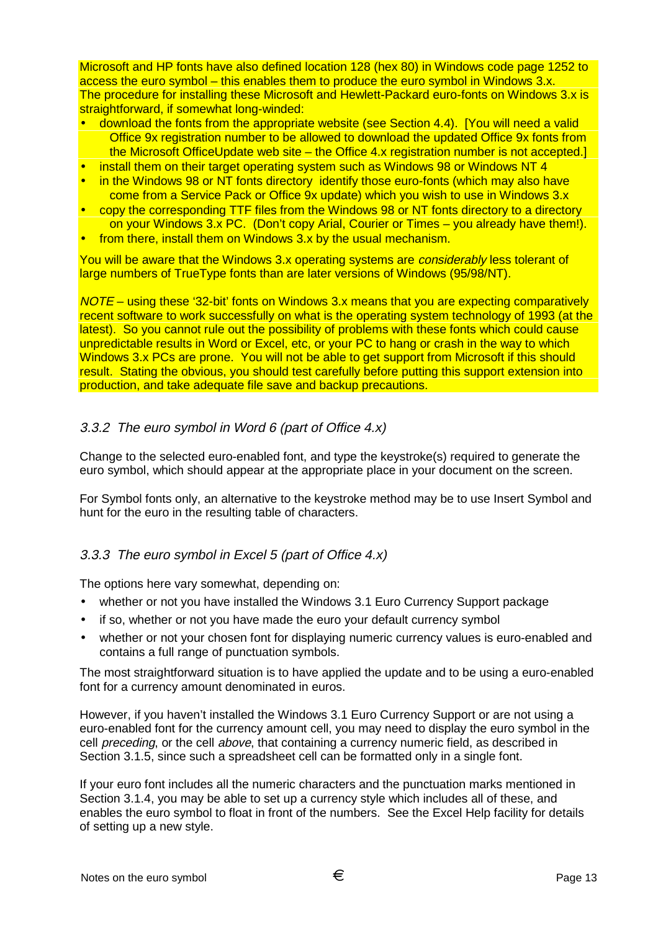Microsoft and HP fonts have also defined location 128 (hex 80) in Windows code page 1252 to access the euro symbol – this enables them to produce the euro symbol in Windows 3.x. The procedure for installing these Microsoft and Hewlett-Packard euro-fonts on Windows 3.x is straightforward, if somewhat long-winded:

- download the fonts from the appropriate website (see Section 4.4). [You will need a valid Office 9x registration number to be allowed to download the updated Office 9x fonts from the Microsoft OfficeUpdate web site – the Office 4.x registration number is not accepted.]
- install them on their target operating system such as Windows 98 or Windows NT 4
- in the Windows 98 or NT fonts directory identify those euro-fonts (which may also have come from a Service Pack or Office 9x update) which you wish to use in Windows 3.x
- copy the corresponding TTF files from the Windows 98 or NT fonts directory to a directory on your Windows 3.x PC. (Don't copy Arial, Courier or Times – you already have them!).
- from there, install them on Windows 3.x by the usual mechanism.

You will be aware that the Windows 3.x operating systems are *considerably* less tolerant of large numbers of TrueType fonts than are later versions of Windows (95/98/NT).

NOTE – using these '32-bit' fonts on Windows 3.x means that you are expecting comparatively recent software to work successfully on what is the operating system technology of 1993 (at the latest). So you cannot rule out the possibility of problems with these fonts which could cause unpredictable results in Word or Excel, etc, or your PC to hang or crash in the way to which Windows 3.x PCs are prone. You will not be able to get support from Microsoft if this should result. Stating the obvious, you should test carefully before putting this support extension into production, and take adequate file save and backup precautions.

## 3.3.2 The euro symbol in Word 6 (part of Office 4.x)

Change to the selected euro-enabled font, and type the keystroke(s) required to generate the euro symbol, which should appear at the appropriate place in your document on the screen.

For Symbol fonts only, an alternative to the keystroke method may be to use Insert Symbol and hunt for the euro in the resulting table of characters.

# 3.3.3 The euro symbol in Excel 5 (part of Office 4.x)

The options here vary somewhat, depending on:

- whether or not you have installed the Windows 3.1 Euro Currency Support package
- if so, whether or not you have made the euro your default currency symbol
- whether or not your chosen font for displaying numeric currency values is euro-enabled and contains a full range of punctuation symbols.

The most straightforward situation is to have applied the update and to be using a euro-enabled font for a currency amount denominated in euros.

However, if you haven't installed the Windows 3.1 Euro Currency Support or are not using a euro-enabled font for the currency amount cell, you may need to display the euro symbol in the cell preceding, or the cell above, that containing a currency numeric field, as described in Section 3.1.5, since such a spreadsheet cell can be formatted only in a single font.

If your euro font includes all the numeric characters and the punctuation marks mentioned in Section 3.1.4, you may be able to set up a currency style which includes all of these, and enables the euro symbol to float in front of the numbers. See the Excel Help facility for details of setting up a new style.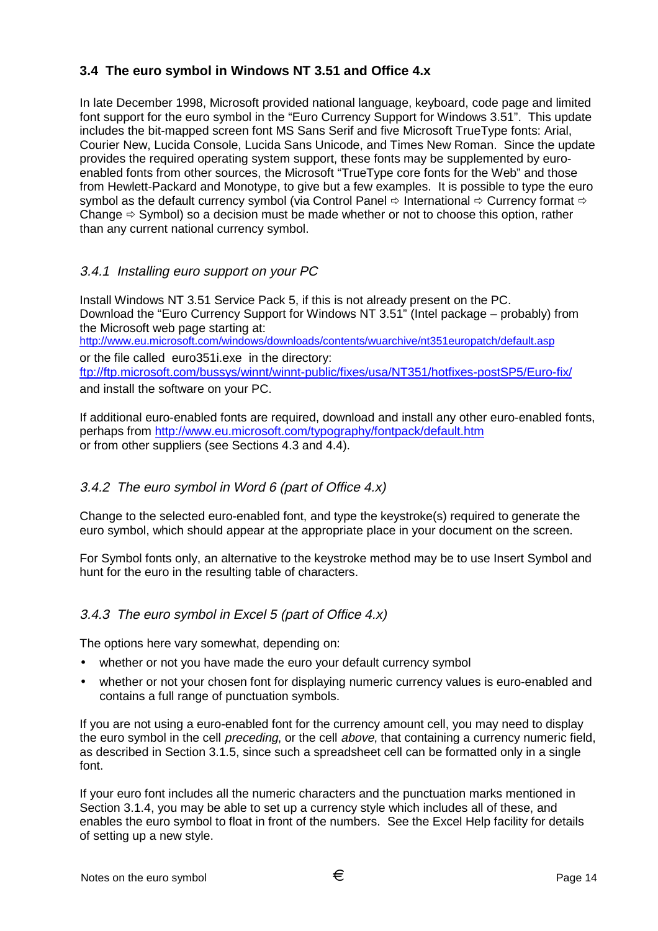# **3.4 The euro symbol in Windows NT 3.51 and Office 4.x**

In late December 1998, Microsoft provided national language, keyboard, code page and limited font support for the euro symbol in the "Euro Currency Support for Windows 3.51". This update includes the bit-mapped screen font MS Sans Serif and five Microsoft TrueType fonts: Arial, Courier New, Lucida Console, Lucida Sans Unicode, and Times New Roman. Since the update provides the required operating system support, these fonts may be supplemented by euroenabled fonts from other sources, the Microsoft "TrueType core fonts for the Web" and those from Hewlett-Packard and Monotype, to give but a few examples. It is possible to type the euro symbol as the default currency symbol (via Control Panel  $\Rightarrow$  International  $\Rightarrow$  Currency format  $\Rightarrow$ Change  $\Rightarrow$  Symbol) so a decision must be made whether or not to choose this option, rather than any current national currency symbol.

# 3.4.1 Installing euro support on your PC

Install Windows NT 3.51 Service Pack 5, if this is not already present on the PC. Download the "Euro Currency Support for Windows NT 3.51" (Intel package – probably) from the Microsoft web page starting at: http://www.eu.microsoft.com/windows/downloads/contents/wuarchive/nt351europatch/default.asp or the file called euro351i.exe in the directory: ftp://ftp.microsoft.com/bussys/winnt/winnt-public/fixes/usa/NT351/hotfixes-postSP5/Euro-fix/ and install the software on your PC.

If additional euro-enabled fonts are required, download and install any other euro-enabled fonts, perhaps from http://www.eu.microsoft.com/typography/fontpack/default.htm or from other suppliers (see Sections 4.3 and 4.4).

# 3.4.2 The euro symbol in Word 6 (part of Office 4.x)

Change to the selected euro-enabled font, and type the keystroke(s) required to generate the euro symbol, which should appear at the appropriate place in your document on the screen.

For Symbol fonts only, an alternative to the keystroke method may be to use Insert Symbol and hunt for the euro in the resulting table of characters.

# 3.4.3 The euro symbol in Excel 5 (part of Office 4.x)

The options here vary somewhat, depending on:

- whether or not you have made the euro your default currency symbol
- whether or not your chosen font for displaying numeric currency values is euro-enabled and contains a full range of punctuation symbols.

If you are not using a euro-enabled font for the currency amount cell, you may need to display the euro symbol in the cell *preceding*, or the cell *above*, that containing a currency numeric field, as described in Section 3.1.5, since such a spreadsheet cell can be formatted only in a single font.

If your euro font includes all the numeric characters and the punctuation marks mentioned in Section 3.1.4, you may be able to set up a currency style which includes all of these, and enables the euro symbol to float in front of the numbers. See the Excel Help facility for details of setting up a new style.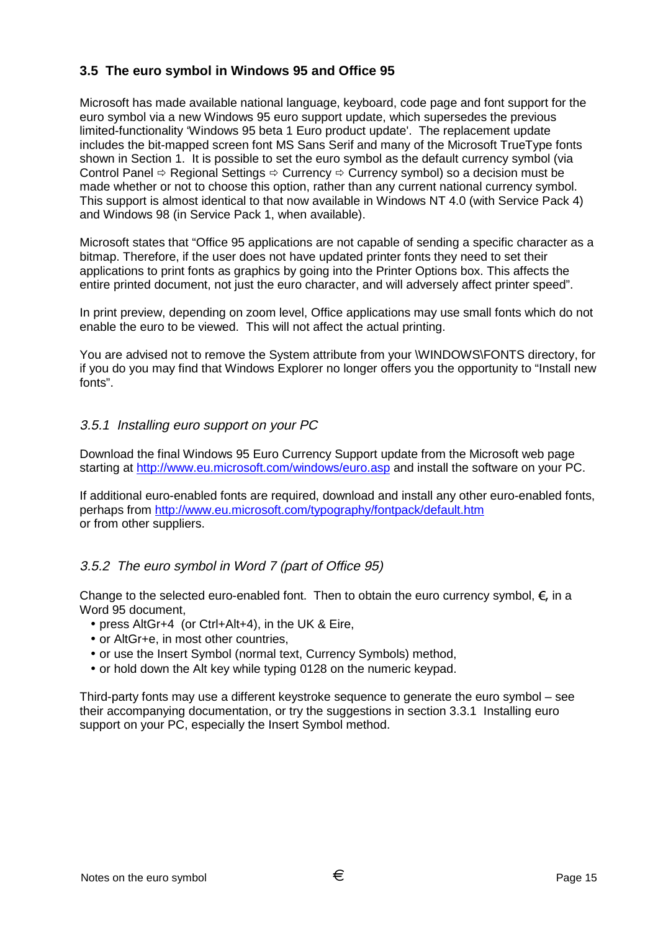# **3.5 The euro symbol in Windows 95 and Office 95**

Microsoft has made available national language, keyboard, code page and font support for the euro symbol via a new Windows 95 euro support update, which supersedes the previous limited-functionality 'Windows 95 beta 1 Euro product update'. The replacement update includes the bit-mapped screen font MS Sans Serif and many of the Microsoft TrueType fonts shown in Section 1. It is possible to set the euro symbol as the default currency symbol (via Control Panel  $\Rightarrow$  Regional Settings  $\Rightarrow$  Currency  $\Rightarrow$  Currency symbol) so a decision must be made whether or not to choose this option, rather than any current national currency symbol. This support is almost identical to that now available in Windows NT 4.0 (with Service Pack 4) and Windows 98 (in Service Pack 1, when available).

Microsoft states that "Office 95 applications are not capable of sending a specific character as a bitmap. Therefore, if the user does not have updated printer fonts they need to set their applications to print fonts as graphics by going into the Printer Options box. This affects the entire printed document, not just the euro character, and will adversely affect printer speed".

In print preview, depending on zoom level, Office applications may use small fonts which do not enable the euro to be viewed. This will not affect the actual printing.

You are advised not to remove the System attribute from your \WINDOWS\FONTS directory, for if you do you may find that Windows Explorer no longer offers you the opportunity to "Install new fonts".

#### 3.5.1 Installing euro support on your PC

Download the final Windows 95 Euro Currency Support update from the Microsoft web page starting at http://www.eu.microsoft.com/windows/euro.asp and install the software on your PC.

If additional euro-enabled fonts are required, download and install any other euro-enabled fonts, perhaps from http://www.eu.microsoft.com/typography/fontpack/default.htm or from other suppliers.

#### 3.5.2 The euro symbol in Word 7 (part of Office 95)

Change to the selected euro-enabled font. Then to obtain the euro currency symbol,  $\epsilon$ , in a Word 95 document,

- press AltGr+4 (or Ctrl+Alt+4), in the UK & Eire,
- or AltGr+e, in most other countries.
- or use the Insert Symbol (normal text, Currency Symbols) method,
- or hold down the Alt key while typing 0128 on the numeric keypad.

Third-party fonts may use a different keystroke sequence to generate the euro symbol – see their accompanying documentation, or try the suggestions in section 3.3.1 Installing euro support on your PC, especially the Insert Symbol method.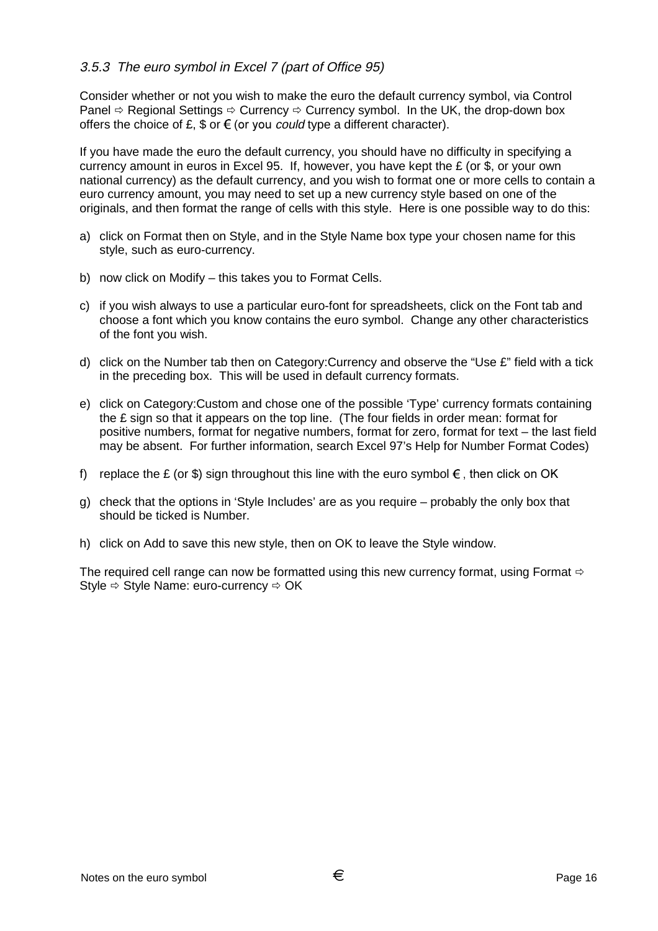## 3.5.3 The euro symbol in Excel 7 (part of Office 95)

Consider whether or not you wish to make the euro the default currency symbol, via Control Panel  $\Rightarrow$  Regional Settings  $\Rightarrow$  Currency  $\Rightarrow$  Currency symbol. In the UK, the drop-down box offers the choice of £, \$ or  $\epsilon$  (or you *could* type a different character).

If you have made the euro the default currency, you should have no difficulty in specifying a currency amount in euros in Excel 95. If, however, you have kept the £ (or \$, or your own national currency) as the default currency, and you wish to format one or more cells to contain a euro currency amount, you may need to set up a new currency style based on one of the originals, and then format the range of cells with this style. Here is one possible way to do this:

- a) click on Format then on Style, and in the Style Name box type your chosen name for this style, such as euro-currency.
- b) now click on Modify this takes you to Format Cells.
- c) if you wish always to use a particular euro-font for spreadsheets, click on the Font tab and choose a font which you know contains the euro symbol. Change any other characteristics of the font you wish.
- d) click on the Number tab then on Category:Currency and observe the "Use £" field with a tick in the preceding box. This will be used in default currency formats.
- e) click on Category:Custom and chose one of the possible 'Type' currency formats containing the £ sign so that it appears on the top line. (The four fields in order mean: format for positive numbers, format for negative numbers, format for zero, format for text – the last field may be absent. For further information, search Excel 97's Help for Number Format Codes)
- f) replace the £ (or \$) sign throughout this line with the euro symbol  $\epsilon$ , then click on OK
- g) check that the options in 'Style Includes' are as you require probably the only box that should be ticked is Number.
- h) click on Add to save this new style, then on OK to leave the Style window.

The required cell range can now be formatted using this new currency format, using Format  $\Leftrightarrow$ Style  $\Rightarrow$  Style Name: euro-currency  $\Rightarrow$  OK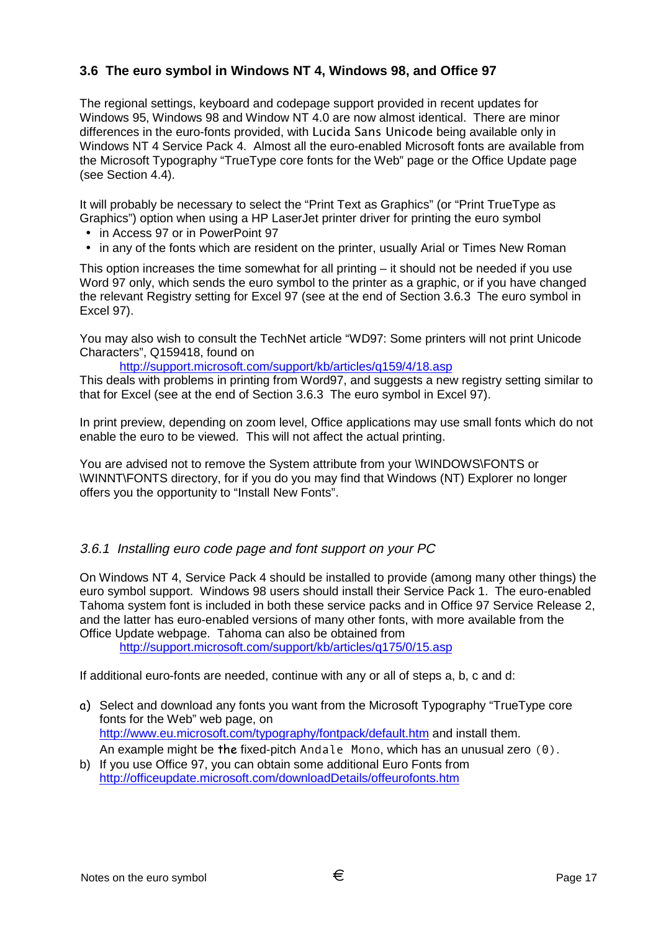# **3.6 The euro symbol in Windows NT 4, Windows 98, and Office 97**

The regional settings, keyboard and codepage support provided in recent updates for Windows 95, Windows 98 and Window NT 4.0 are now almost identical. There are minor differences in the euro-fonts provided, with Lucida Sans Unicode being available only in Windows NT 4 Service Pack 4. Almost all the euro-enabled Microsoft fonts are available from the Microsoft Typography "TrueType core fonts for the Web" page or the Office Update page (see Section 4.4).

It will probably be necessary to select the "Print Text as Graphics" (or "Print TrueType as Graphics") option when using a HP LaserJet printer driver for printing the euro symbol

- in Access 97 or in PowerPoint 97
- in any of the fonts which are resident on the printer, usually Arial or Times New Roman

This option increases the time somewhat for all printing  $-$  it should not be needed if you use Word 97 only, which sends the euro symbol to the printer as a graphic, or if you have changed the relevant Registry setting for Excel 97 (see at the end of Section 3.6.3 The euro symbol in Excel 97).

You may also wish to consult the TechNet article "WD97: Some printers will not print Unicode Characters", Q159418, found on

http://support.microsoft.com/support/kb/articles/q159/4/18.asp

This deals with problems in printing from Word97, and suggests a new registry setting similar to that for Excel (see at the end of Section 3.6.3 The euro symbol in Excel 97).

In print preview, depending on zoom level, Office applications may use small fonts which do not enable the euro to be viewed. This will not affect the actual printing.

You are advised not to remove the System attribute from your \WINDOWS\FONTS or \WINNT\FONTS directory, for if you do you may find that Windows (NT) Explorer no longer offers you the opportunity to "Install New Fonts".

#### 3.6.1 Installing euro code page and font support on your PC

On Windows NT 4, Service Pack 4 should be installed to provide (among many other things) the euro symbol support. Windows 98 users should install their Service Pack 1. The euro-enabled Tahoma system font is included in both these service packs and in Office 97 Service Release 2, and the latter has euro-enabled versions of many other fonts, with more available from the Office Update webpage. Tahoma can also be obtained from

http://support.microsoft.com/support/kb/articles/q175/0/15.asp

If additional euro-fonts are needed, continue with any or all of steps a, b, c and d:

- a) Select and download any fonts you want from the Microsoft Typography "TrueType core fonts for the Web" web page, on http://www.eu.microsoft.com/typography/fontpack/default.htm and install them. An example might be the fixed-pitch  $Andale$  Mono, which has an unusual zero  $(0)$ .
- b) If you use Office 97, you can obtain some additional Euro Fonts from http://officeupdate.microsoft.com/downloadDetails/offeurofonts.htm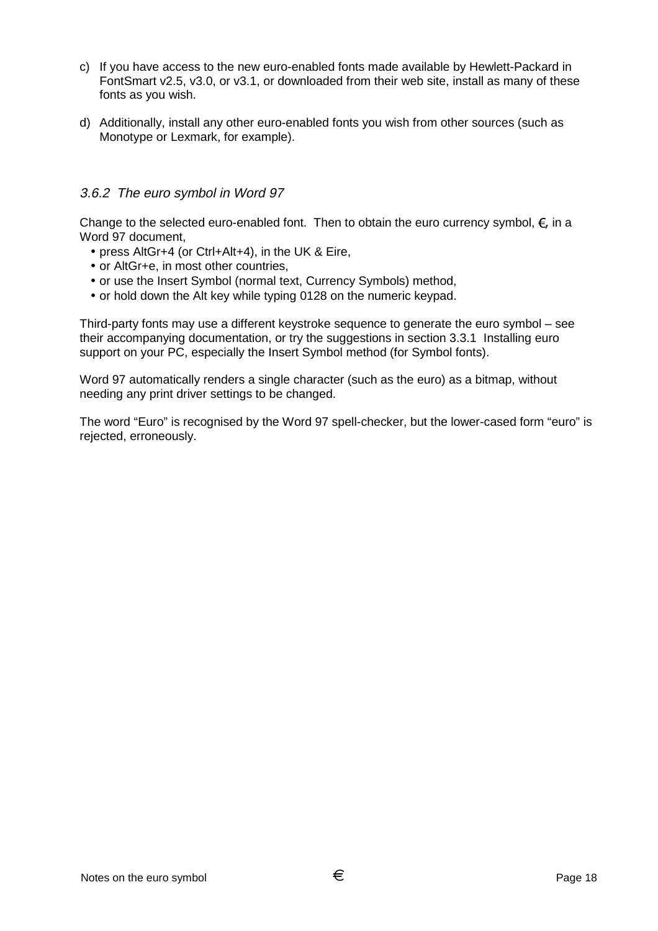- c) If you have access to the new euro-enabled fonts made available by Hewlett-Packard in FontSmart v2.5, v3.0, or v3.1, or downloaded from their web site, install as many of these fonts as you wish.
- d) Additionally, install any other euro-enabled fonts you wish from other sources (such as Monotype or Lexmark, for example).

#### 3.6.2 The euro symbol in Word 97

Change to the selected euro-enabled font. Then to obtain the euro currency symbol,  $\epsilon$ , in a Word 97 document,

- press AltGr+4 (or Ctrl+Alt+4), in the UK & Eire,
- or AltGr+e, in most other countries,
- or use the Insert Symbol (normal text, Currency Symbols) method,
- or hold down the Alt key while typing 0128 on the numeric keypad.

Third-party fonts may use a different keystroke sequence to generate the euro symbol – see their accompanying documentation, or try the suggestions in section 3.3.1 Installing euro support on your PC, especially the Insert Symbol method (for Symbol fonts).

Word 97 automatically renders a single character (such as the euro) as a bitmap, without needing any print driver settings to be changed.

The word "Euro" is recognised by the Word 97 spell-checker, but the lower-cased form "euro" is rejected, erroneously.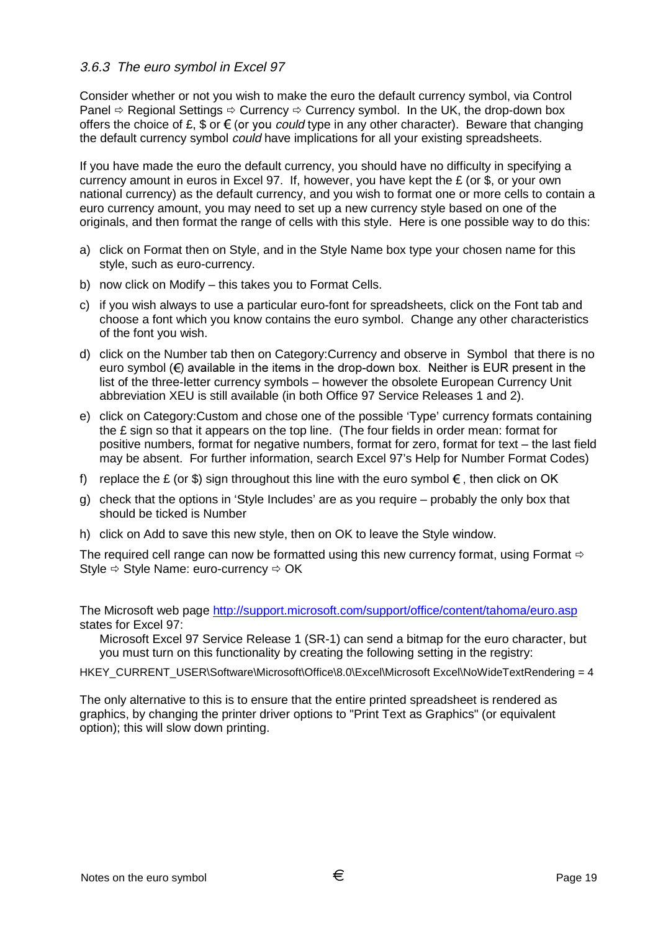#### 3.6.3 The euro symbol in Excel 97

Consider whether or not you wish to make the euro the default currency symbol, via Control Panel  $\Rightarrow$  Regional Settings  $\Rightarrow$  Currency  $\Rightarrow$  Currency symbol. In the UK, the drop-down box offers the choice of £,  $\text{\$ or } \text{\$\epsilon$}$  (or you *could* type in any other character). Beware that changing the default currency symbol could have implications for all your existing spreadsheets.

If you have made the euro the default currency, you should have no difficulty in specifying a currency amount in euros in Excel 97. If, however, you have kept the £ (or \$, or your own national currency) as the default currency, and you wish to format one or more cells to contain a euro currency amount, you may need to set up a new currency style based on one of the originals, and then format the range of cells with this style. Here is one possible way to do this:

- a) click on Format then on Style, and in the Style Name box type your chosen name for this style, such as euro-currency.
- b) now click on Modify this takes you to Format Cells.
- c) if you wish always to use a particular euro-font for spreadsheets, click on the Font tab and choose a font which you know contains the euro symbol. Change any other characteristics of the font you wish.
- d) click on the Number tab then on Category:Currency and observe in Symbol that there is no euro symbol  $(\epsilon)$  available in the items in the drop-down box. Neither is EUR present in the list of the three-letter currency symbols – however the obsolete European Currency Unit abbreviation XEU is still available (in both Office 97 Service Releases 1 and 2).
- e) click on Category:Custom and chose one of the possible 'Type' currency formats containing the £ sign so that it appears on the top line. (The four fields in order mean: format for positive numbers, format for negative numbers, format for zero, format for text – the last field may be absent. For further information, search Excel 97's Help for Number Format Codes)
- f) replace the £ (or \$) sign throughout this line with the euro symbol  $\epsilon$ , then click on OK
- g) check that the options in 'Style Includes' are as you require probably the only box that should be ticked is Number
- h) click on Add to save this new style, then on OK to leave the Style window.

The required cell range can now be formatted using this new currency format, using Format  $\Rightarrow$ Style  $\Rightarrow$  Style Name: euro-currency  $\Rightarrow$  OK

The Microsoft web page http://support.microsoft.com/support/office/content/tahoma/euro.asp states for Excel 97.

Microsoft Excel 97 Service Release 1 (SR-1) can send a bitmap for the euro character, but you must turn on this functionality by creating the following setting in the registry:

HKEY\_CURRENT\_USER\Software\Microsoft\Office\8.0\Excel\Microsoft Excel\NoWideTextRendering = 4

The only alternative to this is to ensure that the entire printed spreadsheet is rendered as graphics, by changing the printer driver options to "Print Text as Graphics" (or equivalent option); this will slow down printing.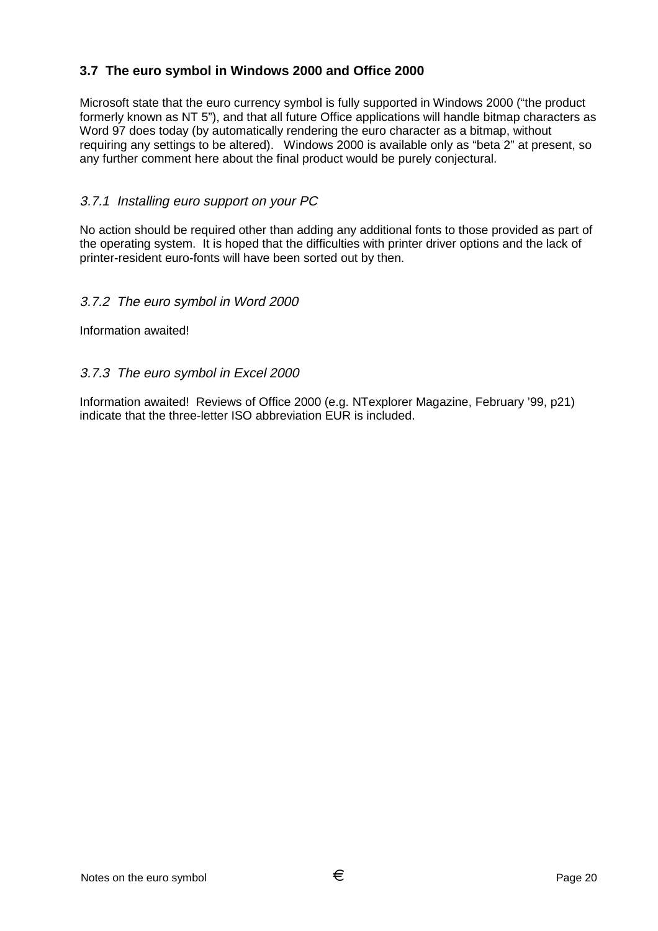# **3.7 The euro symbol in Windows 2000 and Office 2000**

Microsoft state that the euro currency symbol is fully supported in Windows 2000 ("the product formerly known as NT 5"), and that all future Office applications will handle bitmap characters as Word 97 does today (by automatically rendering the euro character as a bitmap, without requiring any settings to be altered). Windows 2000 is available only as "beta 2" at present, so any further comment here about the final product would be purely conjectural.

## 3.7.1 Installing euro support on your PC

No action should be required other than adding any additional fonts to those provided as part of the operating system. It is hoped that the difficulties with printer driver options and the lack of printer-resident euro-fonts will have been sorted out by then.

#### 3.7.2 The euro symbol in Word 2000

Information awaited!

#### 3.7.3 The euro symbol in Excel 2000

Information awaited! Reviews of Office 2000 (e.g. NTexplorer Magazine, February '99, p21) indicate that the three-letter ISO abbreviation EUR is included.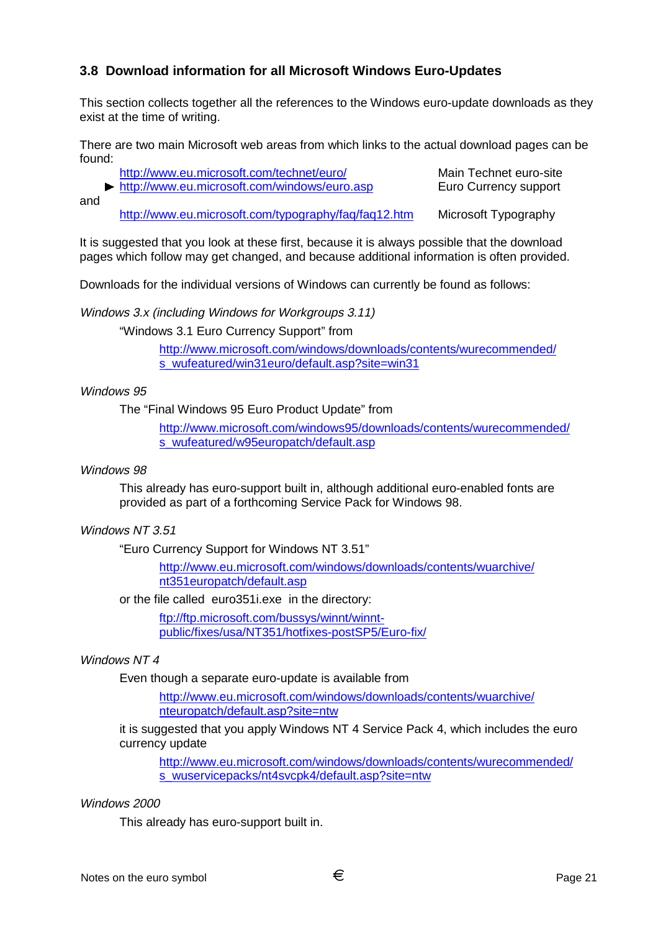## **3.8 Download information for all Microsoft Windows Euro-Updates**

This section collects together all the references to the Windows euro-update downloads as they exist at the time of writing.

There are two main Microsoft web areas from which links to the actual download pages can be found:

|     | http://www.eu.microsoft.com/technet/euro/            | Main Technet euro-site |
|-----|------------------------------------------------------|------------------------|
|     | http://www.eu.microsoft.com/windows/euro.asp         | Euro Currency support  |
| and |                                                      |                        |
|     | http://www.eu.microsoft.com/typography/faq/faq12.htm | Microsoft Typography   |

It is suggested that you look at these first, because it is always possible that the download pages which follow may get changed, and because additional information is often provided.

Downloads for the individual versions of Windows can currently be found as follows:

Windows 3.x (including Windows for Workgroups 3.11)

"Windows 3.1 Euro Currency Support" from

http://www.microsoft.com/windows/downloads/contents/wurecommended/ s\_wufeatured/win31euro/default.asp?site=win31

#### Windows 95

The "Final Windows 95 Euro Product Update" from

http://www.microsoft.com/windows95/downloads/contents/wurecommended/ s\_wufeatured/w95europatch/default.asp

#### Windows 98

This already has euro-support built in, although additional euro-enabled fonts are provided as part of a forthcoming Service Pack for Windows 98.

#### Windows NT 3.51

"Euro Currency Support for Windows NT 3.51"

http://www.eu.microsoft.com/windows/downloads/contents/wuarchive/ nt351europatch/default.asp

or the file called euro351i.exe in the directory:

ftp://ftp.microsoft.com/bussys/winnt/winntpublic/fixes/usa/NT351/hotfixes-postSP5/Euro-fix/

#### Windows NT 4

Even though a separate euro-update is available from

http://www.eu.microsoft.com/windows/downloads/contents/wuarchive/ nteuropatch/default.asp?site=ntw

it is suggested that you apply Windows NT 4 Service Pack 4, which includes the euro currency update

http://www.eu.microsoft.com/windows/downloads/contents/wurecommended/ s\_wuservicepacks/nt4svcpk4/default.asp?site=ntw

#### Windows 2000

This already has euro-support built in.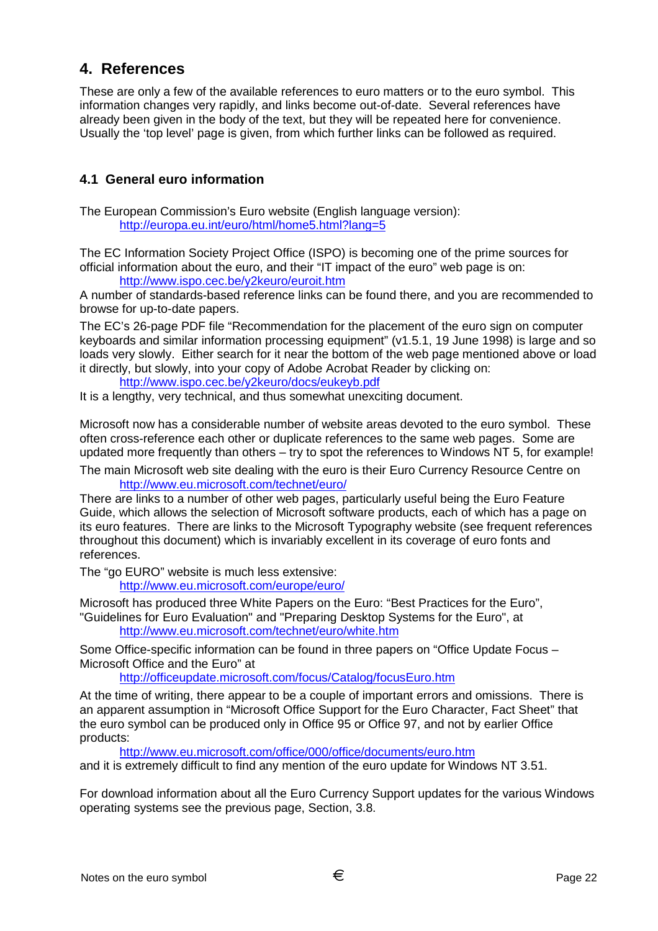# **4. References**

These are only a few of the available references to euro matters or to the euro symbol. This information changes very rapidly, and links become out-of-date. Several references have already been given in the body of the text, but they will be repeated here for convenience. Usually the 'top level' page is given, from which further links can be followed as required.

# **4.1 General euro information**

The European Commission's Euro website (English language version): http://europa.eu.int/euro/html/home5.html?lang=5

The EC Information Society Project Office (ISPO) is becoming one of the prime sources for official information about the euro, and their "IT impact of the euro" web page is on: http://www.ispo.cec.be/y2keuro/euroit.htm

A number of standards-based reference links can be found there, and you are recommended to browse for up-to-date papers.

The EC's 26-page PDF file "Recommendation for the placement of the euro sign on computer keyboards and similar information processing equipment" (v1.5.1, 19 June 1998) is large and so loads very slowly. Either search for it near the bottom of the web page mentioned above or load it directly, but slowly, into your copy of Adobe Acrobat Reader by clicking on:

http://www.ispo.cec.be/y2keuro/docs/eukeyb.pdf

It is a lengthy, very technical, and thus somewhat unexciting document.

Microsoft now has a considerable number of website areas devoted to the euro symbol. These often cross-reference each other or duplicate references to the same web pages. Some are updated more frequently than others – try to spot the references to Windows NT 5, for example!

The main Microsoft web site dealing with the euro is their Euro Currency Resource Centre on http://www.eu.microsoft.com/technet/euro/

There are links to a number of other web pages, particularly useful being the Euro Feature Guide, which allows the selection of Microsoft software products, each of which has a page on its euro features. There are links to the Microsoft Typography website (see frequent references throughout this document) which is invariably excellent in its coverage of euro fonts and references.

The "go EURO" website is much less extensive:

http://www.eu.microsoft.com/europe/euro/

Microsoft has produced three White Papers on the Euro: "Best Practices for the Euro", "Guidelines for Euro Evaluation" and "Preparing Desktop Systems for the Euro", at

http://www.eu.microsoft.com/technet/euro/white.htm

Some Office-specific information can be found in three papers on "Office Update Focus – Microsoft Office and the Euro" at

http://officeupdate.microsoft.com/focus/Catalog/focusEuro.htm

At the time of writing, there appear to be a couple of important errors and omissions. There is an apparent assumption in "Microsoft Office Support for the Euro Character, Fact Sheet" that the euro symbol can be produced only in Office 95 or Office 97, and not by earlier Office products:

http://www.eu.microsoft.com/office/000/office/documents/euro.htm

and it is extremely difficult to find any mention of the euro update for Windows NT 3.51.

For download information about all the Euro Currency Support updates for the various Windows operating systems see the previous page, Section, 3.8.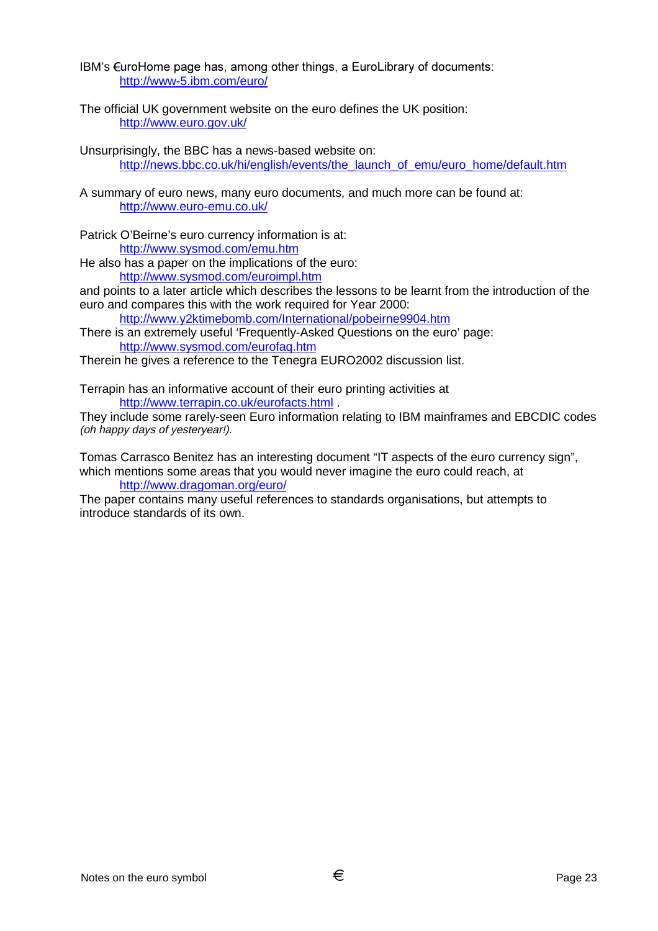IBM's  $\epsilon$ uroHome page has, among other things, a EuroLibrary of documents: http://www-5.ibm.com/euro/

The official UK government website on the euro defines the UK position: http://www.euro.gov.uk/

Unsurprisingly, the BBC has a news-based website on: http://news.bbc.co.uk/hi/english/events/the\_launch\_of\_emu/euro\_home/default.htm

- A summary of euro news, many euro documents, and much more can be found at: http://www.euro-emu.co.uk/
- Patrick O'Beirne's euro currency information is at: http://www.sysmod.com/emu.htm

He also has a paper on the implications of the euro: http://www.sysmod.com/euroimpl.htm

and points to a later article which describes the lessons to be learnt from the introduction of the euro and compares this with the work required for Year 2000:

http://www.y2ktimebomb.com/International/pobeirne9904.htm

There is an extremely useful 'Frequently-Asked Questions on the euro' page: http://www.sysmod.com/eurofaq.htm

Therein he gives a reference to the Tenegra EURO2002 discussion list.

Terrapin has an informative account of their euro printing activities at http://www.terrapin.co.uk/eurofacts.html .

They include some rarely-seen Euro information relating to IBM mainframes and EBCDIC codes (oh happy days of yesteryear!).

Tomas Carrasco Benitez has an interesting document "IT aspects of the euro currency sign", which mentions some areas that you would never imagine the euro could reach, at http://www.dragoman.org/euro/

The paper contains many useful references to standards organisations, but attempts to introduce standards of its own.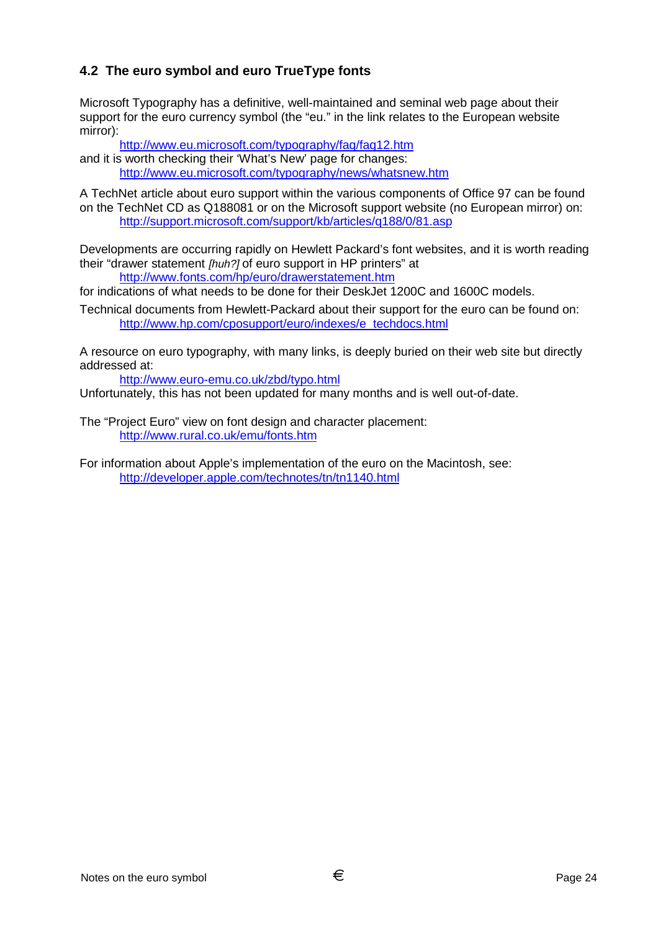# **4.2 The euro symbol and euro TrueType fonts**

Microsoft Typography has a definitive, well-maintained and seminal web page about their support for the euro currency symbol (the "eu." in the link relates to the European website mirror):

http://www.eu.microsoft.com/typography/faq/faq12.htm

and it is worth checking their 'What's New' page for changes: http://www.eu.microsoft.com/typography/news/whatsnew.htm

A TechNet article about euro support within the various components of Office 97 can be found on the TechNet CD as Q188081 or on the Microsoft support website (no European mirror) on: http://support.microsoft.com/support/kb/articles/q188/0/81.asp

Developments are occurring rapidly on Hewlett Packard's font websites, and it is worth reading their "drawer statement *[huh?]* of euro support in HP printers" at http://www.fonts.com/hp/euro/drawerstatement.htm

for indications of what needs to be done for their DeskJet 1200C and 1600C models.

Technical documents from Hewlett-Packard about their support for the euro can be found on: http://www.hp.com/cposupport/euro/indexes/e\_techdocs.html

A resource on euro typography, with many links, is deeply buried on their web site but directly addressed at:

http://www.euro-emu.co.uk/zbd/typo.html

Unfortunately, this has not been updated for many months and is well out-of-date.

The "Project Euro" view on font design and character placement: http://www.rural.co.uk/emu/fonts.htm

For information about Apple's implementation of the euro on the Macintosh, see: http://developer.apple.com/technotes/tn/tn1140.html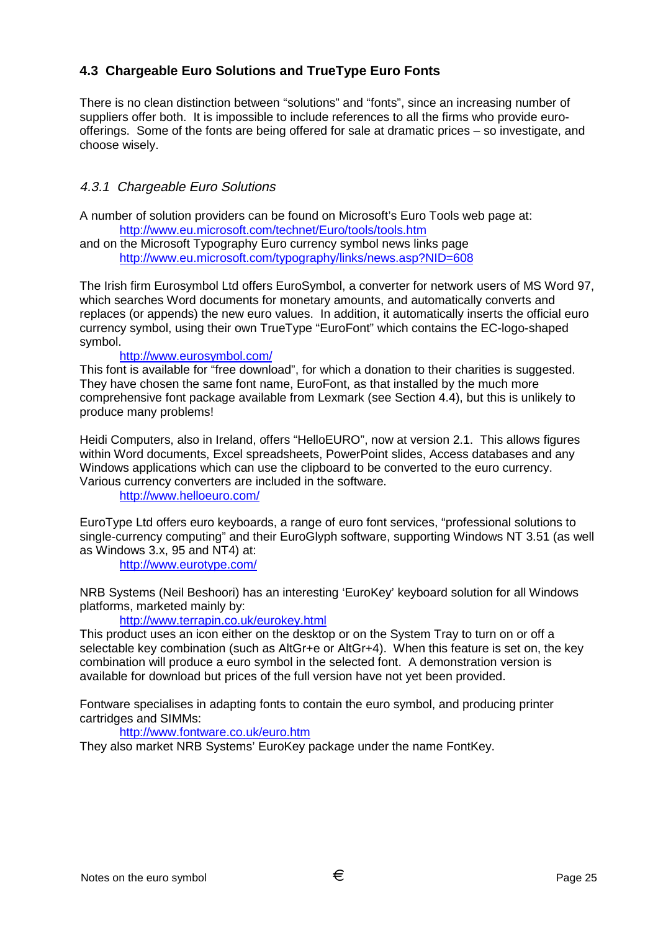# **4.3 Chargeable Euro Solutions and TrueType Euro Fonts**

There is no clean distinction between "solutions" and "fonts", since an increasing number of suppliers offer both. It is impossible to include references to all the firms who provide euroofferings. Some of the fonts are being offered for sale at dramatic prices – so investigate, and choose wisely.

## 4.3.1 Chargeable Euro Solutions

A number of solution providers can be found on Microsoft's Euro Tools web page at: http://www.eu.microsoft.com/technet/Euro/tools/tools.htm

and on the Microsoft Typography Euro currency symbol news links page http://www.eu.microsoft.com/typography/links/news.asp?NID=608

The Irish firm Eurosymbol Ltd offers EuroSymbol, a converter for network users of MS Word 97, which searches Word documents for monetary amounts, and automatically converts and replaces (or appends) the new euro values. In addition, it automatically inserts the official euro currency symbol, using their own TrueType "EuroFont" which contains the EC-logo-shaped symbol.

#### http://www.eurosymbol.com/

This font is available for "free download", for which a donation to their charities is suggested. They have chosen the same font name, EuroFont, as that installed by the much more comprehensive font package available from Lexmark (see Section 4.4), but this is unlikely to produce many problems!

Heidi Computers, also in Ireland, offers "HelloEURO", now at version 2.1. This allows figures within Word documents, Excel spreadsheets, PowerPoint slides, Access databases and any Windows applications which can use the clipboard to be converted to the euro currency. Various currency converters are included in the software.

http://www.helloeuro.com/

EuroType Ltd offers euro keyboards, a range of euro font services, "professional solutions to single-currency computing" and their EuroGlyph software, supporting Windows NT 3.51 (as well as Windows 3.x, 95 and NT4) at:

http://www.eurotype.com/

NRB Systems (Neil Beshoori) has an interesting 'EuroKey' keyboard solution for all Windows platforms, marketed mainly by:

http://www.terrapin.co.uk/eurokey.html

This product uses an icon either on the desktop or on the System Tray to turn on or off a selectable key combination (such as AltGr+e or AltGr+4). When this feature is set on, the key combination will produce a euro symbol in the selected font. A demonstration version is available for download but prices of the full version have not yet been provided.

Fontware specialises in adapting fonts to contain the euro symbol, and producing printer cartridges and SIMMs:

#### http://www.fontware.co.uk/euro.htm

They also market NRB Systems' EuroKey package under the name FontKey.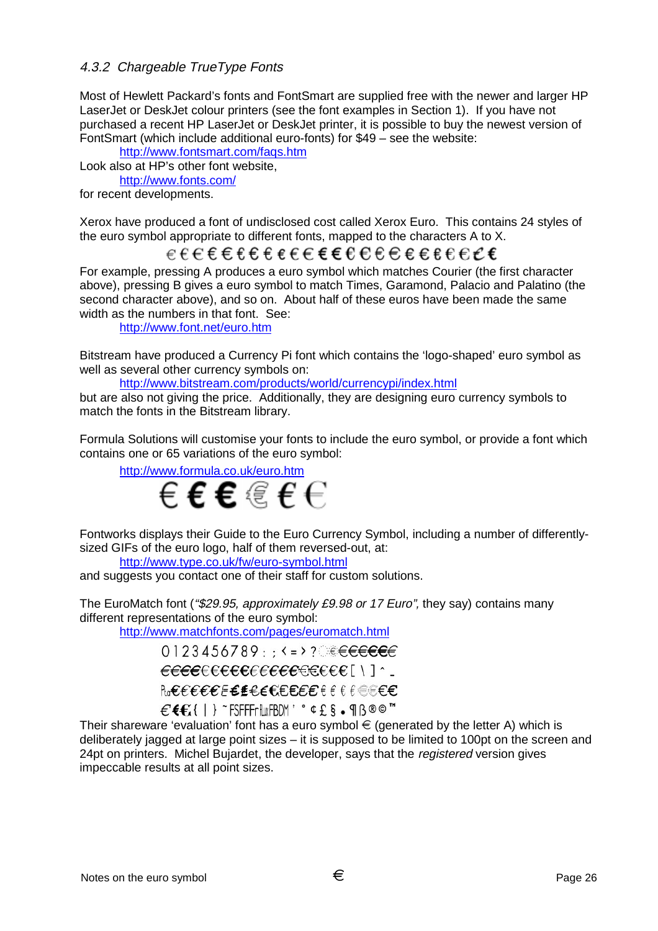## 4.3.2 Chargeable TrueType Fonts

Most of Hewlett Packard's fonts and FontSmart are supplied free with the newer and larger HP LaserJet or DeskJet colour printers (see the font examples in Section 1). If you have not purchased a recent HP LaserJet or DeskJet printer, it is possible to buy the newest version of FontSmart (which include additional euro-fonts) for \$49 – see the website:

http://www.fontsmart.com/faqs.htm

Look also at HP's other font website, http://www.fonts.com/

for recent developments.

Xerox have produced a font of undisclosed cost called Xerox Euro. This contains 24 styles of the euro symbol appropriate to different fonts, mapped to the characters A to X.

# ⋹⋵⋲⋹⋹⋹⋹⋹⋹⋹⋹⋹⋹⋳⋲⋹⋹⋹⋹∊⋹⋵⋲

For example, pressing A produces a euro symbol which matches Courier (the first character above), pressing B gives a euro symbol to match Times, Garamond, Palacio and Palatino (the second character above), and so on. About half of these euros have been made the same width as the numbers in that font. See:

http://www.font.net/euro.htm

Bitstream have produced a Currency Pi font which contains the 'logo-shaped' euro symbol as well as several other currency symbols on:

http://www.bitstream.com/products/world/currencypi/index.html

but are also not giving the price. Additionally, they are designing euro currency symbols to match the fonts in the Bitstream library.

Formula Solutions will customise your fonts to include the euro symbol, or provide a font which contains one or 65 variations of the euro symbol:

http://www.formula.co.uk/euro.htm



Fontworks displays their Guide to the Euro Currency Symbol, including a number of differentlysized GIFs of the euro logo, half of them reversed-out, at:

http://www.type.co.uk/fw/euro-symbol.html

and suggests you contact one of their staff for custom solutions.

The EuroMatch font ("\$29.95, approximately £9.98 or 17 Euro", they say) contains many different representations of the euro symbol:

http://www.matchfonts.com/pages/euromatch.html

NeEEEEEEEEEEEEEEEEEEEEE  $E$  $E$  $E$ {|}<sup>~</sup>FSFFFr $h$ wFBDM'  $^{\circ}$   $E$   $S$  .  $\P$  $B$   $@$   $@$   $"$ 

Their shareware 'evaluation' font has a euro symbol  $\epsilon$  (generated by the letter A) which is deliberately jagged at large point sizes – it is supposed to be limited to 100pt on the screen and 24pt on printers. Michel Bujardet, the developer, says that the *registered* version gives impeccable results at all point sizes.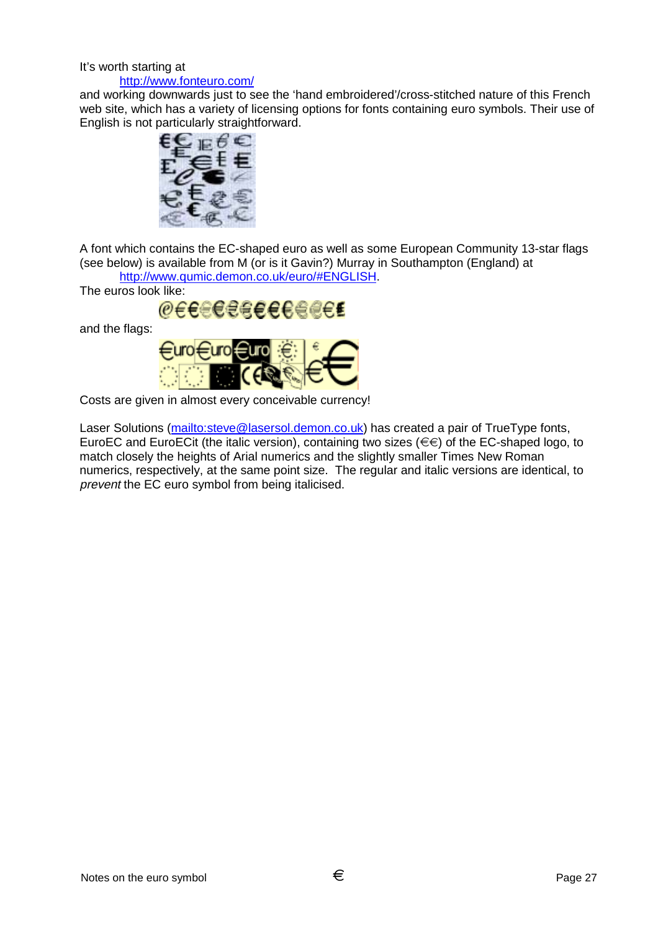#### It's worth starting at http://www.fonteuro.com/

and working downwards just to see the 'hand embroidered'/cross-stitched nature of this French web site, which has a variety of licensing options for fonts containing euro symbols. Their use of English is not particularly straightforward.



A font which contains the EC-shaped euro as well as some European Community 13-star flags (see below) is available from M (or is it Gavin?) Murray in Southampton (England) at http://www.qumic.demon.co.uk/euro/#ENGLISH.

The euros look like:



and the flags:



Costs are given in almost every conceivable currency!

Laser Solutions (mailto:steve@lasersol.demon.co.uk) has created a pair of TrueType fonts, EuroEC and EuroECit (the italic version), containing two sizes ( $\in \infty$ ) of the EC-shaped logo, to match closely the heights of Arial numerics and the slightly smaller Times New Roman numerics, respectively, at the same point size. The regular and italic versions are identical, to prevent the EC euro symbol from being italicised.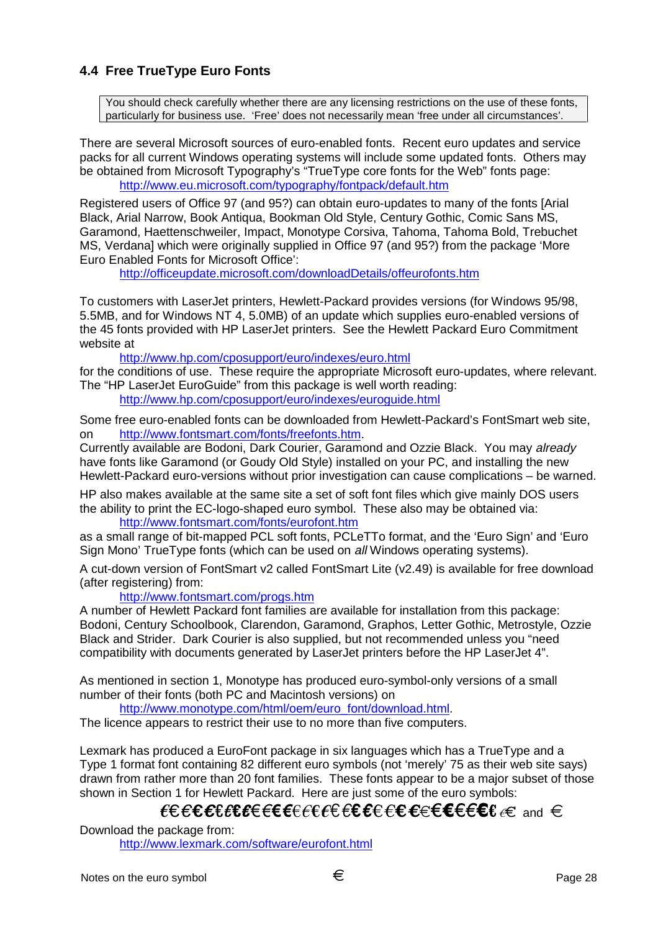# **4.4 Free TrueType Euro Fonts**

You should check carefully whether there are any licensing restrictions on the use of these fonts, particularly for business use. 'Free' does not necessarily mean 'free under all circumstances'.

There are several Microsoft sources of euro-enabled fonts. Recent euro updates and service packs for all current Windows operating systems will include some updated fonts. Others may be obtained from Microsoft Typography's "TrueType core fonts for the Web" fonts page: http://www.eu.microsoft.com/typography/fontpack/default.htm

Registered users of Office 97 (and 95?) can obtain euro-updates to many of the fonts [Arial Black, Arial Narrow, Book Antiqua, Bookman Old Style, Century Gothic, Comic Sans MS, Garamond, Haettenschweiler, Impact, Monotype Corsiva, Tahoma, Tahoma Bold, Trebuchet MS, Verdana] which were originally supplied in Office 97 (and 95?) from the package 'More Euro Enabled Fonts for Microsoft Office':

http://officeupdate.microsoft.com/downloadDetails/offeurofonts.htm

To customers with LaserJet printers, Hewlett-Packard provides versions (for Windows 95/98, 5.5MB, and for Windows NT 4, 5.0MB) of an update which supplies euro-enabled versions of the 45 fonts provided with HP LaserJet printers. See the Hewlett Packard Euro Commitment website at

http://www.hp.com/cposupport/euro/indexes/euro.html for the conditions of use. These require the appropriate Microsoft euro-updates, where relevant. The "HP LaserJet EuroGuide" from this package is well worth reading: http://www.hp.com/cposupport/euro/indexes/euroguide.html

Some free euro-enabled fonts can be downloaded from Hewlett-Packard's FontSmart web site, on http://www.fontsmart.com/fonts/freefonts.htm.

Currently available are Bodoni, Dark Courier, Garamond and Ozzie Black. You may already have fonts like Garamond (or Goudy Old Style) installed on your PC, and installing the new Hewlett-Packard euro-versions without prior investigation can cause complications – be warned.

HP also makes available at the same site a set of soft font files which give mainly DOS users the ability to print the EC-logo-shaped euro symbol. These also may be obtained via: http://www.fontsmart.com/fonts/eurofont.htm

as a small range of bit-mapped PCL soft fonts, PCLeTTo format, and the 'Euro Sign' and 'Euro Sign Mono' TrueType fonts (which can be used on all Windows operating systems).

A cut-down version of FontSmart v2 called FontSmart Lite (v2.49) is available for free download (after registering) from:

http://www.fontsmart.com/progs.htm

A number of Hewlett Packard font families are available for installation from this package: Bodoni, Century Schoolbook, Clarendon, Garamond, Graphos, Letter Gothic, Metrostyle, Ozzie Black and Strider. Dark Courier is also supplied, but not recommended unless you "need compatibility with documents generated by LaserJet printers before the HP LaserJet 4".

As mentioned in section 1, Monotype has produced euro-symbol-only versions of a small number of their fonts (both PC and Macintosh versions) on

http://www.monotype.com/html/oem/euro\_font/download.html.

The licence appears to restrict their use to no more than five computers.

Lexmark has produced a EuroFont package in six languages which has a TrueType and a Type 1 format font containing 82 different euro symbols (not 'merely' 75 as their web site says) drawn from rather more than 20 font families. These fonts appear to be a major subset of those shown in Section 1 for Hewlett Packard. Here are just some of the euro symbols:

# LECCLECCEFEREFECECEFECEFECEFEC and  $\in$

Download the package from:

http://www.lexmark.com/software/eurofont.html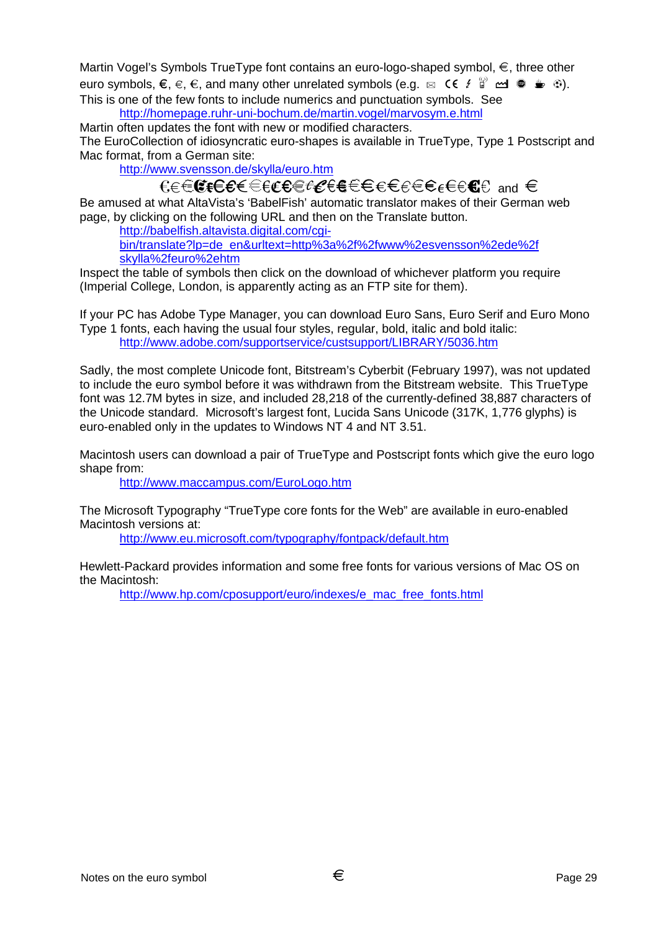Martin Vogel's Symbols TrueType font contains an euro-logo-shaped symbol,  $\epsilon$ , three other euro symbols,  $\epsilon, \epsilon, \epsilon$ , and many other unrelated symbols (e.g.  $\alpha \in \epsilon \in \mathbb{R}^d$  and  $\epsilon \in \epsilon$ ). This is one of the few fonts to include numerics and punctuation symbols. See

http://homepage.ruhr-uni-bochum.de/martin.vogel/marvosym.e.html Martin often updates the font with new or modified characters.

The EuroCollection of idiosyncratic euro-shapes is available in TrueType, Type 1 Postscript and Mac format, from a German site:

http://www.svensson.de/skylla/euro.htm

 $\epsilon\in\mathbb{C}$ f $\epsilon\in\epsilon\in\epsilon$ ere $\epsilon\in\epsilon\in\epsilon$ efe $\epsilon\in\epsilon$ 

Be amused at what AltaVista's 'BabelFish' automatic translator makes of their German web page, by clicking on the following URL and then on the Translate button.

http://babelfish.altavista.digital.com/cgi-

bin/translate?lp=de\_en&urltext=http%3a%2f%2fwww%2esvensson%2ede%2f skylla%2feuro%2ehtm

Inspect the table of symbols then click on the download of whichever platform you require (Imperial College, London, is apparently acting as an FTP site for them).

If your PC has Adobe Type Manager, you can download Euro Sans, Euro Serif and Euro Mono Type 1 fonts, each having the usual four styles, regular, bold, italic and bold italic: http://www.adobe.com/supportservice/custsupport/LIBRARY/5036.htm

Sadly, the most complete Unicode font, Bitstream's Cyberbit (February 1997), was not updated to include the euro symbol before it was withdrawn from the Bitstream website. This TrueType font was 12.7M bytes in size, and included 28,218 of the currently-defined 38,887 characters of the Unicode standard. Microsoft's largest font, Lucida Sans Unicode (317K, 1,776 glyphs) is euro-enabled only in the updates to Windows NT 4 and NT 3.51.

Macintosh users can download a pair of TrueType and Postscript fonts which give the euro logo shape from:

http://www.maccampus.com/EuroLogo.htm

The Microsoft Typography "TrueType core fonts for the Web" are available in euro-enabled Macintosh versions at:

http://www.eu.microsoft.com/typography/fontpack/default.htm

Hewlett-Packard provides information and some free fonts for various versions of Mac OS on the Macintosh:

http://www.hp.com/cposupport/euro/indexes/e\_mac\_free\_fonts.html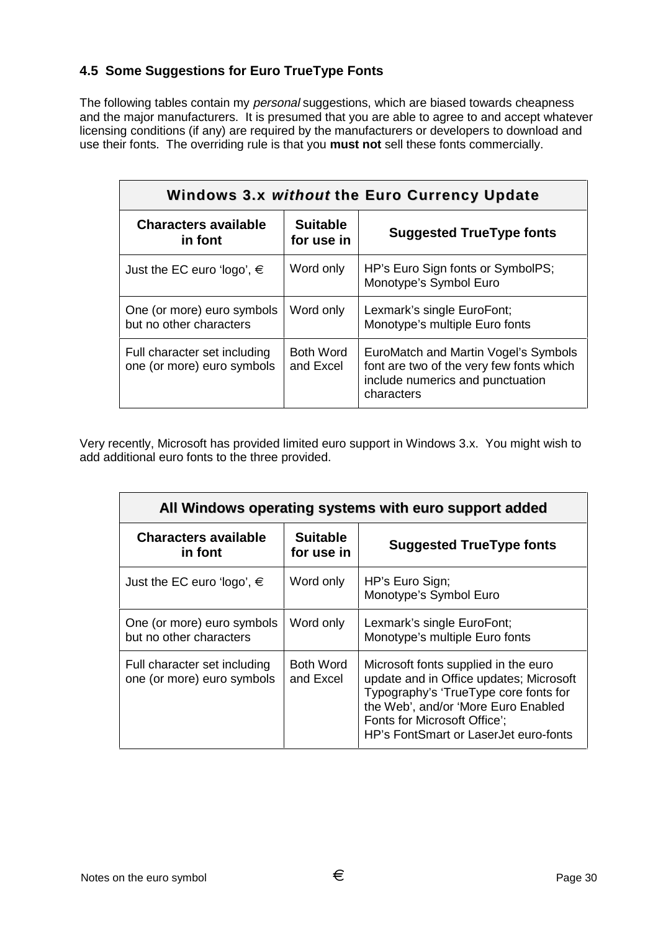# **4.5 Some Suggestions for Euro TrueType Fonts**

The following tables contain my *personal* suggestions, which are biased towards cheapness and the major manufacturers. It is presumed that you are able to agree to and accept whatever licensing conditions (if any) are required by the manufacturers or developers to download and use their fonts. The overriding rule is that you **must not** sell these fonts commercially.

| Windows 3.x without the Euro Currency Update               |                               |                                                                                                                                    |  |
|------------------------------------------------------------|-------------------------------|------------------------------------------------------------------------------------------------------------------------------------|--|
| <b>Characters available</b><br>in font                     | <b>Suitable</b><br>for use in | <b>Suggested TrueType fonts</b>                                                                                                    |  |
| Just the EC euro 'logo', $\in$                             | Word only                     | HP's Euro Sign fonts or SymbolPS;<br>Monotype's Symbol Euro                                                                        |  |
| One (or more) euro symbols<br>but no other characters      | Word only                     | Lexmark's single EuroFont;<br>Monotype's multiple Euro fonts                                                                       |  |
| Full character set including<br>one (or more) euro symbols | <b>Both Word</b><br>and Excel | EuroMatch and Martin Vogel's Symbols<br>font are two of the very few fonts which<br>include numerics and punctuation<br>characters |  |

Very recently, Microsoft has provided limited euro support in Windows 3.x. You might wish to add additional euro fonts to the three provided.

| All Windows operating systems with euro support added      |                               |                                                                                                                                                                                                                                          |  |
|------------------------------------------------------------|-------------------------------|------------------------------------------------------------------------------------------------------------------------------------------------------------------------------------------------------------------------------------------|--|
| <b>Characters available</b><br>in font                     | <b>Suitable</b><br>for use in | <b>Suggested TrueType fonts</b>                                                                                                                                                                                                          |  |
| Just the EC euro 'logo', $\in$                             | Word only                     | HP's Euro Sign;<br>Monotype's Symbol Euro                                                                                                                                                                                                |  |
| One (or more) euro symbols<br>but no other characters      | Word only                     | Lexmark's single EuroFont;<br>Monotype's multiple Euro fonts                                                                                                                                                                             |  |
| Full character set including<br>one (or more) euro symbols | <b>Both Word</b><br>and Excel | Microsoft fonts supplied in the euro<br>update and in Office updates; Microsoft<br>Typography's 'TrueType core fonts for<br>the Web', and/or 'More Euro Enabled<br>Fonts for Microsoft Office';<br>HP's FontSmart or LaserJet euro-fonts |  |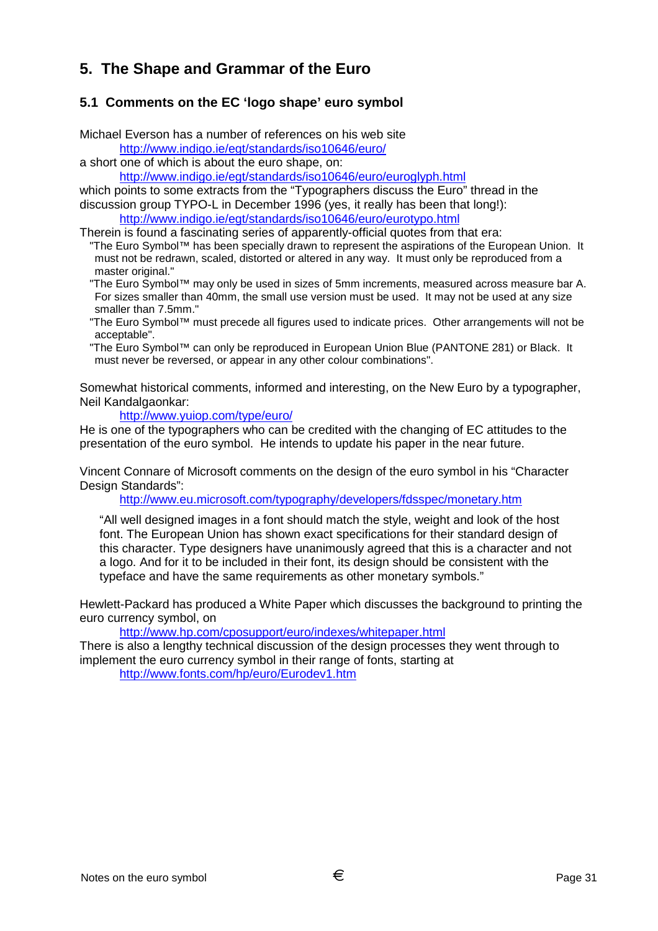# **5. The Shape and Grammar of the Euro**

## **5.1 Comments on the EC 'logo shape' euro symbol**

Michael Everson has a number of references on his web site

http://www.indigo.ie/egt/standards/iso10646/euro/

a short one of which is about the euro shape, on:

http://www.indigo.ie/egt/standards/iso10646/euro/euroglyph.html

which points to some extracts from the "Typographers discuss the Euro" thread in the

discussion group TYPO-L in December 1996 (yes, it really has been that long!): http://www.indigo.ie/egt/standards/iso10646/euro/eurotypo.html

Therein is found a fascinating series of apparently-official quotes from that era:

"The Euro Symbol™ has been specially drawn to represent the aspirations of the European Union. It must not be redrawn, scaled, distorted or altered in any way. It must only be reproduced from a master original."

"The Euro Symbol™ may only be used in sizes of 5mm increments, measured across measure bar A. For sizes smaller than 40mm, the small use version must be used. It may not be used at any size smaller than 7.5mm."

"The Euro Symbol™ must precede all figures used to indicate prices. Other arrangements will not be acceptable".

"The Euro Symbol™ can only be reproduced in European Union Blue (PANTONE 281) or Black. It must never be reversed, or appear in any other colour combinations".

Somewhat historical comments, informed and interesting, on the New Euro by a typographer, Neil Kandalgaonkar:

http://www.yuiop.com/type/euro/

He is one of the typographers who can be credited with the changing of EC attitudes to the presentation of the euro symbol. He intends to update his paper in the near future.

Vincent Connare of Microsoft comments on the design of the euro symbol in his "Character Design Standards":

http://www.eu.microsoft.com/typography/developers/fdsspec/monetary.htm

"All well designed images in a font should match the style, weight and look of the host font. The European Union has shown exact specifications for their standard design of this character. Type designers have unanimously agreed that this is a character and not a logo. And for it to be included in their font, its design should be consistent with the typeface and have the same requirements as other monetary symbols."

Hewlett-Packard has produced a White Paper which discusses the background to printing the euro currency symbol, on

http://www.hp.com/cposupport/euro/indexes/whitepaper.html

There is also a lengthy technical discussion of the design processes they went through to implement the euro currency symbol in their range of fonts, starting at

http://www.fonts.com/hp/euro/Eurodev1.htm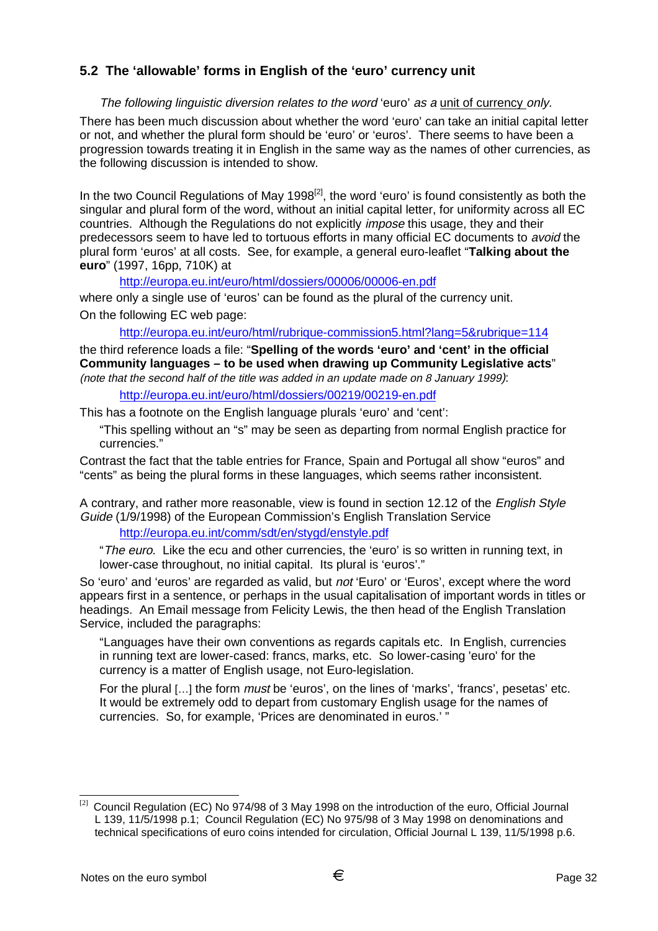# **5.2 The 'allowable' forms in English of the 'euro' currency unit**

#### The following linguistic diversion relates to the word 'euro' as a unit of currency only.

There has been much discussion about whether the word 'euro' can take an initial capital letter or not, and whether the plural form should be 'euro' or 'euros'. There seems to have been a progression towards treating it in English in the same way as the names of other currencies, as the following discussion is intended to show.

In the two Council Regulations of May 1998<sup>[2]</sup>, the word 'euro' is found consistently as both the singular and plural form of the word, without an initial capital letter, for uniformity across all EC countries. Although the Regulations do not explicitly impose this usage, they and their predecessors seem to have led to tortuous efforts in many official EC documents to avoid the plural form 'euros' at all costs. See, for example, a general euro-leaflet "**Talking about the euro**" (1997, 16pp, 710K) at

http://europa.eu.int/euro/html/dossiers/00006/00006-en.pdf

where only a single use of 'euros' can be found as the plural of the currency unit. On the following EC web page:

http://europa.eu.int/euro/html/rubrique-commission5.html?lang=5&rubrique=114

the third reference loads a file: "**Spelling of the words 'euro' and 'cent' in the official Community languages – to be used when drawing up Community Legislative acts**" (note that the second half of the title was added in an update made on 8 January 1999):

http://europa.eu.int/euro/html/dossiers/00219/00219-en.pdf

This has a footnote on the English language plurals 'euro' and 'cent':

"This spelling without an "s" may be seen as departing from normal English practice for currencies."

Contrast the fact that the table entries for France, Spain and Portugal all show "euros" and "cents" as being the plural forms in these languages, which seems rather inconsistent.

A contrary, and rather more reasonable, view is found in section 12.12 of the English Style Guide (1/9/1998) of the European Commission's English Translation Service

http://europa.eu.int/comm/sdt/en/stygd/enstyle.pdf

"The euro. Like the ecu and other currencies, the 'euro' is so written in running text, in lower-case throughout, no initial capital. Its plural is 'euros'."

So 'euro' and 'euros' are regarded as valid, but not 'Euro' or 'Euros', except where the word appears first in a sentence, or perhaps in the usual capitalisation of important words in titles or headings. An Email message from Felicity Lewis, the then head of the English Translation Service, included the paragraphs:

"Languages have their own conventions as regards capitals etc. In English, currencies in running text are lower-cased: francs, marks, etc. So lower-casing 'euro' for the currency is a matter of English usage, not Euro-legislation.

For the plural [...] the form *must* be 'euros', on the lines of 'marks', 'francs', pesetas' etc. It would be extremely odd to depart from customary English usage for the names of currencies. So, for example, 'Prices are denominated in euros.' "

 $\left[ 2\right]$ [2] Council Regulation (EC) No 974/98 of 3 May 1998 on the introduction of the euro, Official Journal L 139, 11/5/1998 p.1; Council Regulation (EC) No 975/98 of 3 May 1998 on denominations and technical specifications of euro coins intended for circulation, Official Journal L 139, 11/5/1998 p.6.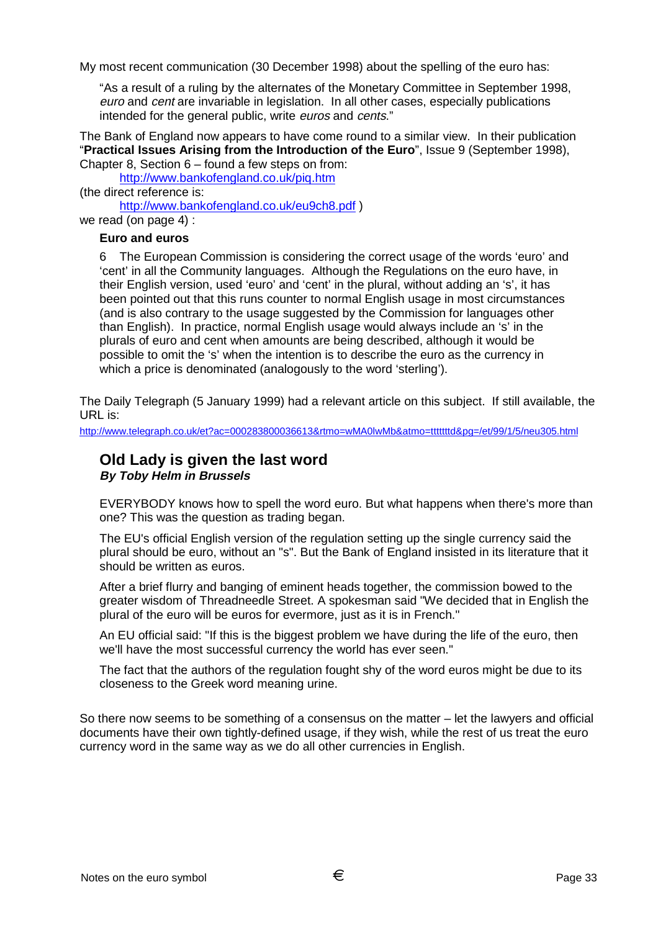My most recent communication (30 December 1998) about the spelling of the euro has:

"As a result of a ruling by the alternates of the Monetary Committee in September 1998, euro and cent are invariable in legislation. In all other cases, especially publications intended for the general public, write euros and cents."

The Bank of England now appears to have come round to a similar view. In their publication "**Practical Issues Arising from the Introduction of the Euro**", Issue 9 (September 1998), Chapter 8, Section 6 – found a few steps on from:

http://www.bankofengland.co.uk/piq.htm (the direct reference is:

http://www.bankofengland.co.uk/eu9ch8.pdf )

we read (on page 4) :

#### **Euro and euros**

6 The European Commission is considering the correct usage of the words 'euro' and 'cent' in all the Community languages. Although the Regulations on the euro have, in their English version, used 'euro' and 'cent' in the plural, without adding an 's', it has been pointed out that this runs counter to normal English usage in most circumstances (and is also contrary to the usage suggested by the Commission for languages other than English). In practice, normal English usage would always include an 's' in the plurals of euro and cent when amounts are being described, although it would be possible to omit the 's' when the intention is to describe the euro as the currency in which a price is denominated (analogously to the word 'sterling').

The Daily Telegraph (5 January 1999) had a relevant article on this subject. If still available, the URL is:

http://www.telegraph.co.uk/et?ac=000283800036613&rtmo=wMA0lwMb&atmo=tttttttd&pg=/et/99/1/5/neu305.html

## **Old Lady is given the last word By Toby Helm in Brussels**

EVERYBODY knows how to spell the word euro. But what happens when there's more than one? This was the question as trading began.

The EU's official English version of the regulation setting up the single currency said the plural should be euro, without an "s". But the Bank of England insisted in its literature that it should be written as euros.

After a brief flurry and banging of eminent heads together, the commission bowed to the greater wisdom of Threadneedle Street. A spokesman said "We decided that in English the plural of the euro will be euros for evermore, just as it is in French."

An EU official said: "If this is the biggest problem we have during the life of the euro, then we'll have the most successful currency the world has ever seen."

The fact that the authors of the regulation fought shy of the word euros might be due to its closeness to the Greek word meaning urine.

So there now seems to be something of a consensus on the matter – let the lawyers and official documents have their own tightly-defined usage, if they wish, while the rest of us treat the euro currency word in the same way as we do all other currencies in English.